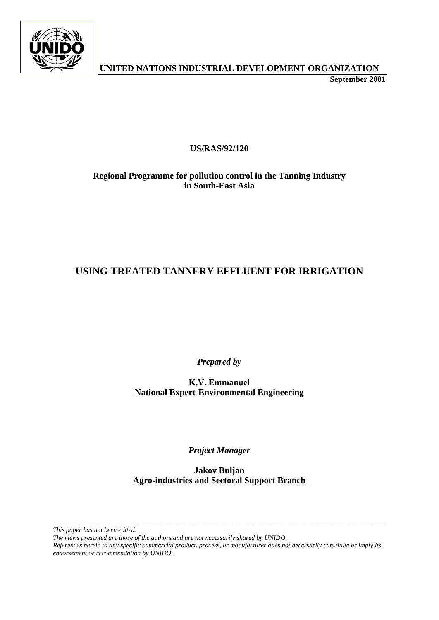

**UNITED NATIONS INDUSTRIAL DEVELOPMENT ORGANIZATION September 2001**

#### **US/RAS/92/120**

## **Regional Programme for pollution control in the Tanning Industry in South-East Asia**

## **USING TREATED TANNERY EFFLUENT FOR IRRIGATION**

*Prepared by*

**K.V. Emmanuel National Expert-Environmental Engineering**

*Project Manager*

**Jakov Buljan Agro-industries and Sectoral Support Branch**

*\_\_\_\_\_\_\_\_\_\_\_\_\_\_\_\_\_\_\_\_\_\_\_\_\_\_\_\_\_\_\_\_\_\_\_\_\_\_\_\_\_\_\_\_\_\_\_\_\_\_\_\_\_\_\_\_\_\_\_\_\_\_\_\_\_\_\_\_\_\_\_\_\_\_\_ This paper has not been edited.* 

*The views presented are those of the authors and are not necessarily shared by UNIDO.* 

*References herein to any specific commercial product, process, or manufacturer does not necessarily constitute or imply its endorsement or recommendation by UNIDO.*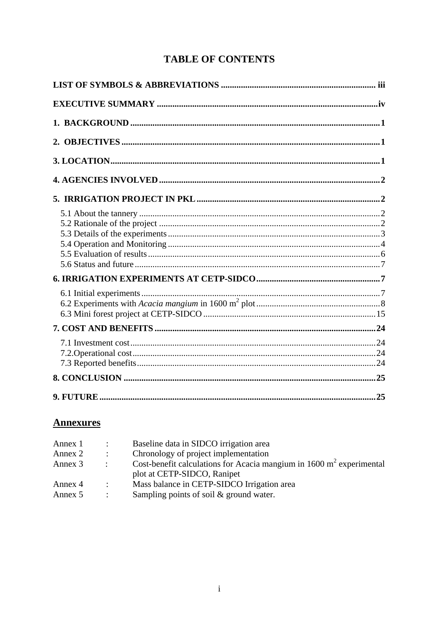## **TABLE OF CONTENTS**

## **Annexures**

| Annex 1 | $\mathbb{R}^{\mathbb{Z}}$ | Baseline data in SIDCO irrigation area                                          |
|---------|---------------------------|---------------------------------------------------------------------------------|
| Annex 2 | $\ddot{\cdot}$            | Chronology of project implementation                                            |
| Annex 3 | $\mathcal{L}$             | Cost-benefit calculations for Acacia mangium in $1600 \text{ m}^2$ experimental |
|         |                           | plot at CETP-SIDCO, Ranipet                                                     |
| Annex 4 | $\mathcal{L}$             | Mass balance in CETP-SIDCO Irrigation area                                      |
| Annex 5 | $\mathcal{L}$             | Sampling points of soil & ground water.                                         |
|         |                           |                                                                                 |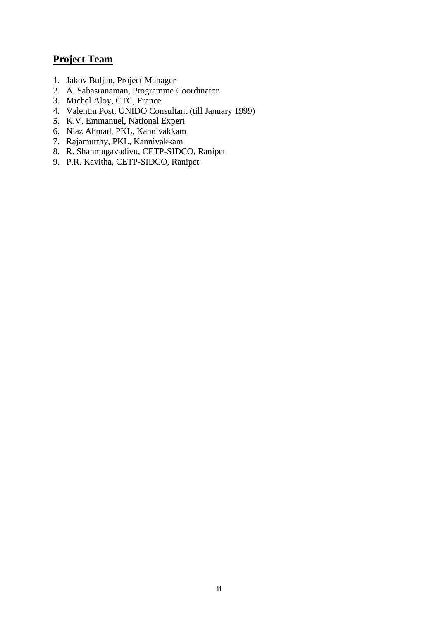## **Project Team**

- 1. Jakov Buljan, Project Manager
- 2. A. Sahasranaman, Programme Coordinator
- 3. Michel Aloy, CTC, France
- 4. Valentin Post, UNIDO Consultant (till January 1999)
- 5. K.V. Emmanuel, National Expert
- 6. Niaz Ahmad, PKL, Kannivakkam
- 7. Rajamurthy, PKL, Kannivakkam
- 8. R. Shanmugavadivu, CETP-SIDCO, Ranipet
- 9. P.R. Kavitha, CETP-SIDCO, Ranipet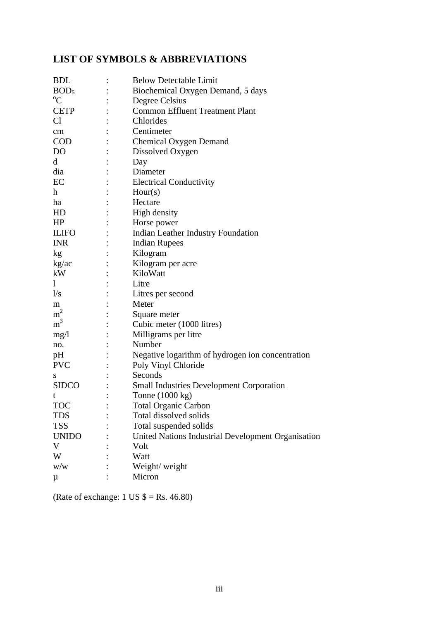# <span id="page-3-0"></span>**LIST OF SYMBOLS & ABBREVIATIONS**

| <b>BDL</b>       | <b>Below Detectable Limit</b>                      |
|------------------|----------------------------------------------------|
| BOD <sub>5</sub> | Biochemical Oxygen Demand, 5 days                  |
| $\rm ^{o}C$      | Degree Celsius                                     |
| <b>CETP</b>      | <b>Common Effluent Treatment Plant</b>             |
| Cl               | Chlorides                                          |
| cm               | Centimeter                                         |
| <b>COD</b>       | <b>Chemical Oxygen Demand</b>                      |
| D <sub>O</sub>   | Dissolved Oxygen                                   |
| $\mathbf d$      | Day                                                |
| dia              | Diameter                                           |
| EC               | <b>Electrical Conductivity</b>                     |
| h                | Hour(s)                                            |
| ha               | Hectare                                            |
| HD               | High density                                       |
| HP               | Horse power                                        |
| <b>ILIFO</b>     | Indian Leather Industry Foundation                 |
| <b>INR</b>       | <b>Indian Rupees</b>                               |
| kg               | Kilogram                                           |
| kg/ac            | Kilogram per acre                                  |
| kW               | KiloWatt                                           |
| 1                | Litre                                              |
| 1/s              | Litres per second                                  |
| m                | Meter                                              |
| m <sup>2</sup>   | Square meter                                       |
| m <sup>3</sup>   | Cubic meter (1000 litres)                          |
| mg/1             | Milligrams per litre                               |
| no.              | Number                                             |
| pH               | Negative logarithm of hydrogen ion concentration   |
| <b>PVC</b>       | Poly Vinyl Chloride                                |
| S                | Seconds                                            |
| <b>SIDCO</b>     | <b>Small Industries Development Corporation</b>    |
| t                | Tonne $(1000 \text{ kg})$                          |
| <b>TOC</b>       | <b>Total Organic Carbon</b>                        |
| <b>TDS</b>       | Total dissolved solids                             |
| <b>TSS</b>       | Total suspended solids                             |
| <b>UNIDO</b>     | United Nations Industrial Development Organisation |
| V                | Volt                                               |
| W                | Watt                                               |
| W/W              | Weight/ weight                                     |
| μ                | Micron                                             |
|                  |                                                    |

(Rate of exchange: 1 US  $\$ = \text{Rs. } 46.80$ )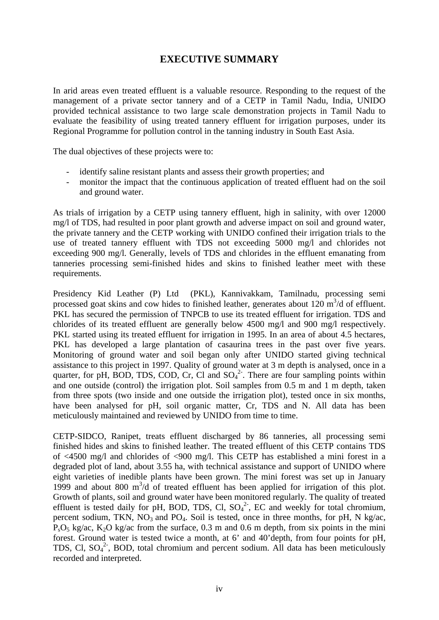## **EXECUTIVE SUMMARY**

<span id="page-4-0"></span>In arid areas even treated effluent is a valuable resource. Responding to the request of the management of a private sector tannery and of a CETP in Tamil Nadu, India, UNIDO provided technical assistance to two large scale demonstration projects in Tamil Nadu to evaluate the feasibility of using treated tannery effluent for irrigation purposes, under its Regional Programme for pollution control in the tanning industry in South East Asia.

The dual objectives of these projects were to:

- identify saline resistant plants and assess their growth properties; and
- monitor the impact that the continuous application of treated effluent had on the soil and ground water.

As trials of irrigation by a CETP using tannery effluent, high in salinity, with over 12000 mg/l of TDS, had resulted in poor plant growth and adverse impact on soil and ground water, the private tannery and the CETP working with UNIDO confined their irrigation trials to the use of treated tannery effluent with TDS not exceeding 5000 mg/l and chlorides not exceeding 900 mg/l. Generally, levels of TDS and chlorides in the effluent emanating from tanneries processing semi-finished hides and skins to finished leather meet with these requirements.

Presidency Kid Leather (P) Ltd (PKL), Kannivakkam, Tamilnadu, processing semi processed goat skins and cow hides to finished leather, generates about  $120 \text{ m}^3/\text{d}$  of effluent. PKL has secured the permission of TNPCB to use its treated effluent for irrigation. TDS and chlorides of its treated effluent are generally below 4500 mg/l and 900 mg/l respectively. PKL started using its treated effluent for irrigation in 1995. In an area of about 4.5 hectares, PKL has developed a large plantation of casaurina trees in the past over five years. Monitoring of ground water and soil began only after UNIDO started giving technical assistance to this project in 1997. Quality of ground water at 3 m depth is analysed, once in a quarter, for pH, BOD, TDS, COD, Cr, Cl and  $SO_4^2$ . There are four sampling points within and one outside (control) the irrigation plot. Soil samples from 0.5 m and 1 m depth, taken from three spots (two inside and one outside the irrigation plot), tested once in six months, have been analysed for pH, soil organic matter, Cr, TDS and N. All data has been meticulously maintained and reviewed by UNIDO from time to time.

CETP-SIDCO, Ranipet, treats effluent discharged by 86 tanneries, all processing semi finished hides and skins to finished leather. The treated effluent of this CETP contains TDS of <4500 mg/l and chlorides of <900 mg/l. This CETP has established a mini forest in a degraded plot of land, about 3.55 ha, with technical assistance and support of UNIDO where eight varieties of inedible plants have been grown. The mini forest was set up in January 1999 and about 800  $m^3/d$  of treated effluent has been applied for irrigation of this plot. Growth of plants, soil and ground water have been monitored regularly. The quality of treated effluent is tested daily for pH, BOD, TDS, Cl,  $SO_4^2$ , EC and weekly for total chromium, percent sodium, TKN,  $NO_3$  and  $PO_4$ . Soil is tested, once in three months, for pH, N kg/ac,  $P<sub>s</sub>O<sub>5</sub>$  kg/ac, K<sub>2</sub>O kg/ac from the surface, 0.3 m and 0.6 m depth, from six points in the mini forest. Ground water is tested twice a month, at 6' and 40'depth, from four points for pH, TDS, Cl,  $SO_4^2$ , BOD, total chromium and percent sodium. All data has been meticulously recorded and interpreted.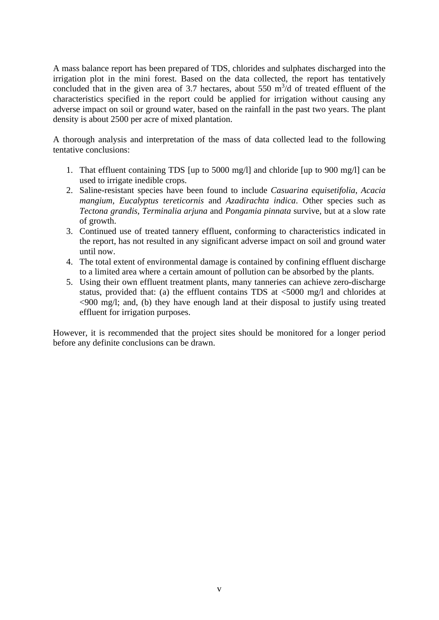A mass balance report has been prepared of TDS, chlorides and sulphates discharged into the irrigation plot in the mini forest. Based on the data collected, the report has tentatively concluded that in the given area of 3.7 hectares, about 550  $\text{m}^3/\text{d}$  of treated effluent of the characteristics specified in the report could be applied for irrigation without causing any adverse impact on soil or ground water, based on the rainfall in the past two years. The plant density is about 2500 per acre of mixed plantation.

A thorough analysis and interpretation of the mass of data collected lead to the following tentative conclusions:

- 1. That effluent containing TDS [up to 5000 mg/l] and chloride [up to 900 mg/l] can be used to irrigate inedible crops.
- 2. Saline-resistant species have been found to include *Casuarina equisetifolia*, *Acacia mangium, Eucalyptus tereticornis* and *Azadirachta indica*. Other species such as *Tectona grandis*, *Terminalia arjuna* and *Pongamia pinnata* survive, but at a slow rate of growth.
- 3. Continued use of treated tannery effluent, conforming to characteristics indicated in the report, has not resulted in any significant adverse impact on soil and ground water until now.
- 4. The total extent of environmental damage is contained by confining effluent discharge to a limited area where a certain amount of pollution can be absorbed by the plants.
- 5. Using their own effluent treatment plants, many tanneries can achieve zero-discharge status, provided that: (a) the effluent contains TDS at <5000 mg/l and chlorides at <900 mg/l; and, (b) they have enough land at their disposal to justify using treated effluent for irrigation purposes.

However, it is recommended that the project sites should be monitored for a longer period before any definite conclusions can be drawn.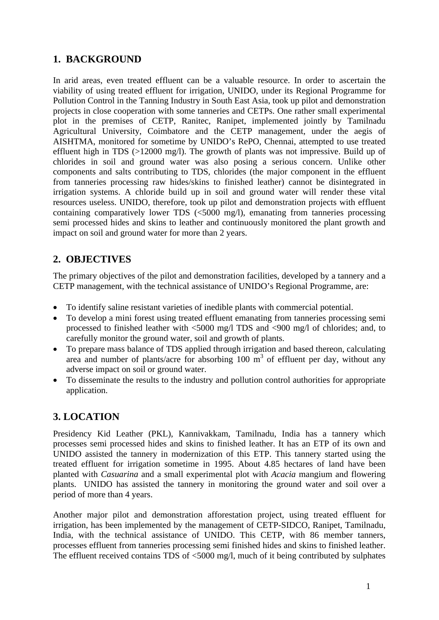## <span id="page-6-0"></span>**1. BACKGROUND**

In arid areas, even treated effluent can be a valuable resource. In order to ascertain the viability of using treated effluent for irrigation, UNIDO, under its Regional Programme for Pollution Control in the Tanning Industry in South East Asia, took up pilot and demonstration projects in close cooperation with some tanneries and CETPs. One rather small experimental plot in the premises of CETP, Ranitec, Ranipet, implemented jointly by Tamilnadu Agricultural University, Coimbatore and the CETP management, under the aegis of AISHTMA, monitored for sometime by UNIDO's RePO, Chennai, attempted to use treated effluent high in TDS (>12000 mg/l). The growth of plants was not impressive. Build up of chlorides in soil and ground water was also posing a serious concern. Unlike other components and salts contributing to TDS, chlorides (the major component in the effluent from tanneries processing raw hides/skins to finished leather) cannot be disintegrated in irrigation systems. A chloride build up in soil and ground water will render these vital resources useless. UNIDO, therefore, took up pilot and demonstration projects with effluent containing comparatively lower TDS (<5000 mg/l), emanating from tanneries processing semi processed hides and skins to leather and continuously monitored the plant growth and impact on soil and ground water for more than 2 years.

## <span id="page-6-1"></span>**2. OBJECTIVES**

The primary objectives of the pilot and demonstration facilities, developed by a tannery and a CETP management, with the technical assistance of UNIDO's Regional Programme, are:

- To identify saline resistant varieties of inedible plants with commercial potential.
- To develop a mini forest using treated effluent emanating from tanneries processing semi processed to finished leather with <5000 mg/l TDS and <900 mg/l of chlorides; and, to carefully monitor the ground water, soil and growth of plants.
- To prepare mass balance of TDS applied through irrigation and based thereon, calculating area and number of plants/acre for absorbing  $100 \text{ m}^3$  of effluent per day, without any adverse impact on soil or ground water.
- To disseminate the results to the industry and pollution control authorities for appropriate application.

## <span id="page-6-2"></span>**3. LOCATION**

Presidency Kid Leather (PKL), Kannivakkam, Tamilnadu, India has a tannery which processes semi processed hides and skins to finished leather. It has an ETP of its own and UNIDO assisted the tannery in modernization of this ETP. This tannery started using the treated effluent for irrigation sometime in 1995. About 4.85 hectares of land have been planted with *Casuarina* and a small experimental plot with *Acacia* mangium and flowering plants. UNIDO has assisted the tannery in monitoring the ground water and soil over a period of more than 4 years.

Another major pilot and demonstration afforestation project, using treated effluent for irrigation, has been implemented by the management of CETP-SIDCO, Ranipet, Tamilnadu, India, with the technical assistance of UNIDO. This CETP, with 86 member tanners, processes effluent from tanneries processing semi finished hides and skins to finished leather. The effluent received contains TDS of <5000 mg/l, much of it being contributed by sulphates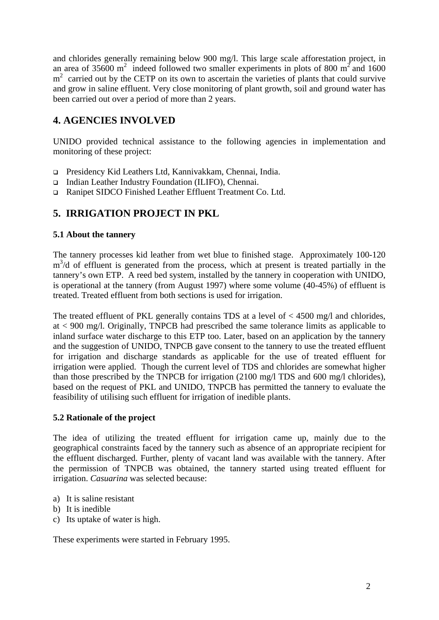and chlorides generally remaining below 900 mg/l. This large scale afforestation project, in an area of 35600 m<sup>2</sup> indeed followed two smaller experiments in plots of 800 m<sup>2</sup> and 1600  $m<sup>2</sup>$  carried out by the CETP on its own to ascertain the varieties of plants that could survive and grow in saline effluent. Very close monitoring of plant growth, soil and ground water has been carried out over a period of more than 2 years.

## <span id="page-7-0"></span>**4. AGENCIES INVOLVED**

UNIDO provided technical assistance to the following agencies in implementation and monitoring of these project:

- Presidency Kid Leathers Ltd, Kannivakkam, Chennai, India.
- □ Indian Leather Industry Foundation (ILIFO), Chennai.
- Ranipet SIDCO Finished Leather Effluent Treatment Co. Ltd.

## <span id="page-7-1"></span>**5. IRRIGATION PROJECT IN PKL**

#### <span id="page-7-2"></span>**5.1 About the tannery**

The tannery processes kid leather from wet blue to finished stage. Approximately 100-120 m<sup>3</sup>/d of effluent is generated from the process, which at present is treated partially in the tannery's own ETP. A reed bed system, installed by the tannery in cooperation with UNIDO, is operational at the tannery (from August 1997) where some volume (40-45%) of effluent is treated. Treated effluent from both sections is used for irrigation.

The treated effluent of PKL generally contains TDS at a level of  $<$  4500 mg/l and chlorides, at < 900 mg/l. Originally, TNPCB had prescribed the same tolerance limits as applicable to inland surface water discharge to this ETP too. Later, based on an application by the tannery and the suggestion of UNIDO, TNPCB gave consent to the tannery to use the treated effluent for irrigation and discharge standards as applicable for the use of treated effluent for irrigation were applied. Though the current level of TDS and chlorides are somewhat higher than those prescribed by the TNPCB for irrigation (2100 mg/l TDS and 600 mg/l chlorides), based on the request of PKL and UNIDO, TNPCB has permitted the tannery to evaluate the feasibility of utilising such effluent for irrigation of inedible plants.

#### <span id="page-7-3"></span>**5.2 Rationale of the project**

The idea of utilizing the treated effluent for irrigation came up, mainly due to the geographical constraints faced by the tannery such as absence of an appropriate recipient for the effluent discharged. Further, plenty of vacant land was available with the tannery. After the permission of TNPCB was obtained, the tannery started using treated effluent for irrigation. *Casuarina* was selected because:

- a) It is saline resistant
- b) It is inedible
- c) Its uptake of water is high.

These experiments were started in February 1995.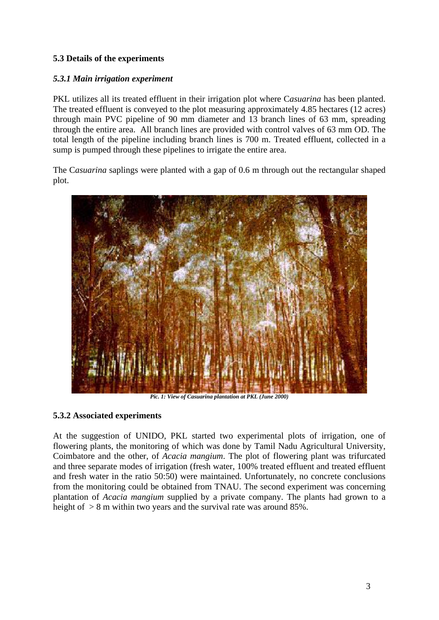#### <span id="page-8-0"></span>**5.3 Details of the experiments**

#### *5.3.1 Main irrigation experiment*

PKL utilizes all its treated effluent in their irrigation plot where C*asuarina* has been planted. The treated effluent is conveyed to the plot measuring approximately 4.85 hectares (12 acres) through main PVC pipeline of 90 mm diameter and 13 branch lines of 63 mm, spreading through the entire area. All branch lines are provided with control valves of 63 mm OD. The total length of the pipeline including branch lines is 700 m. Treated effluent, collected in a sump is pumped through these pipelines to irrigate the entire area.

The C*asuarina* saplings were planted with a gap of 0.6 m through out the rectangular shaped plot.



*Pic. 1: View of Casuarina plantation at PKL (June 2000)*

#### **5.3.2 Associated experiments**

At the suggestion of UNIDO, PKL started two experimental plots of irrigation, one of flowering plants, the monitoring of which was done by Tamil Nadu Agricultural University, Coimbatore and the other, of *Acacia mangium*. The plot of flowering plant was trifurcated and three separate modes of irrigation (fresh water, 100% treated effluent and treated effluent and fresh water in the ratio 50:50) were maintained. Unfortunately, no concrete conclusions from the monitoring could be obtained from TNAU. The second experiment was concerning plantation of *Acacia mangium* supplied by a private company. The plants had grown to a height of  $> 8$  m within two years and the survival rate was around 85%.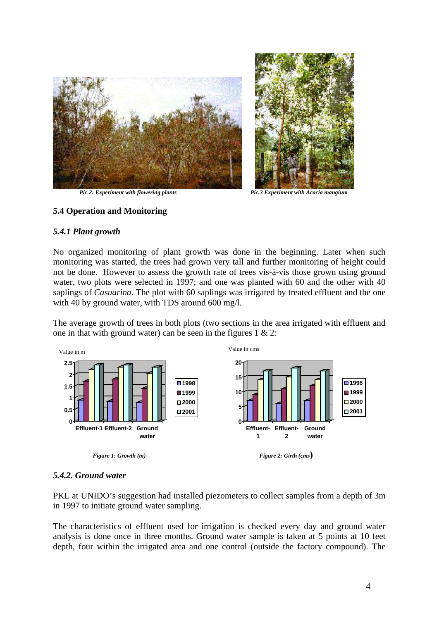

*Pic.2: Experiment with flowering plants Pic.3 Experiment with Acacia mangium*



#### <span id="page-9-0"></span>**5.4 Operation and Monitoring**

#### *5.4.1 Plant growth*

No organized monitoring of plant growth was done in the beginning. Later when such monitoring was started, the trees had grown very tall and further monitoring of height could not be done. However to assess the growth rate of trees vis-à-vis those grown using ground water, two plots were selected in 1997; and one was planted with 60 and the other with 40 saplings of *Casuarina*. The plot with 60 saplings was irrigated by treated effluent and the one with 40 by ground water, with TDS around 600 mg/l.

The average growth of trees in both plots (two sections in the area irrigated with effluent and one in that with ground water) can be seen in the figures  $1 \& 2$ :



#### *5.4.2. Ground water*

PKL at UNIDO's suggestion had installed piezometers to collect samples from a depth of 3m in 1997 to initiate ground water sampling.

The characteristics of effluent used for irrigation is checked every day and ground water analysis is done once in three months. Ground water sample is taken at 5 points at 10 feet depth, four within the irrigated area and one control (outside the factory compound). The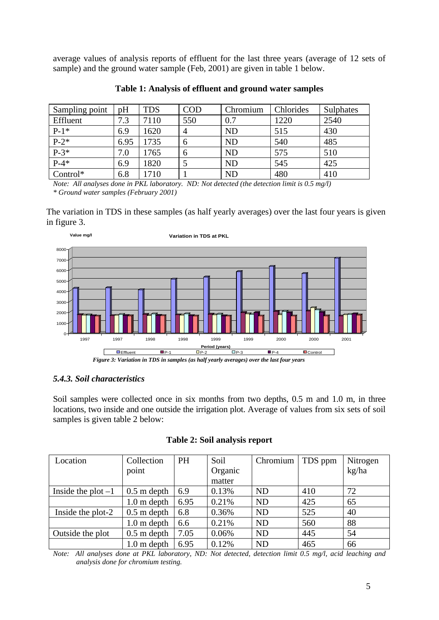average values of analysis reports of effluent for the last three years (average of 12 sets of sample) and the ground water sample (Feb, 2001) are given in table 1 below.

| Sampling point | pH   | <b>TDS</b> | <b>COD</b> | Chromium  | Chlorides | Sulphates |
|----------------|------|------------|------------|-----------|-----------|-----------|
| Effluent       | 7.3  | 7110       | 550        | 0.7       | 1220      | 2540      |
| $P-1*$         | 6.9  | 1620       | 4          | <b>ND</b> | 515       | 430       |
| $P-2*$         | 6.95 | 1735       | 6          | <b>ND</b> | 540       | 485       |
| $P-3*$         | 7.0  | 1765       | 6          | <b>ND</b> | 575       | 510       |
| $P-4*$         | 6.9  | 1820       |            | <b>ND</b> | 545       | 425       |
| $Control*$     | 6.8  | 1710       |            | <b>ND</b> | 480       | 410       |

**Table 1: Analysis of effluent and ground water samples**

*Note: All analyses done in PKL laboratory. ND: Not detected (the detection limit is 0.5 mg/l) \* Ground water samples (February 2001)*

The variation in TDS in these samples (as half yearly averages) over the last four years is given in figure 3.



*Figure 3: Variation in TDS in samples (as half yearly averages) over the last four years* 

#### *5.4.3. Soil characteristics*

Soil samples were collected once in six months from two depths,  $0.5$  m and  $1.0$  m, in three locations, two inside and one outside the irrigation plot. Average of values from six sets of soil samples is given table 2 below:

|  |  | Table 2: Soil analysis report |  |
|--|--|-------------------------------|--|
|--|--|-------------------------------|--|

| Location             | Collection            | <b>PH</b> | Soil    | Chromium  | TDS ppm | Nitrogen |
|----------------------|-----------------------|-----------|---------|-----------|---------|----------|
|                      | point                 |           | Organic |           |         | kg/ha    |
|                      |                       |           | matter  |           |         |          |
| Inside the plot $-1$ | $0.5$ m depth         | 6.9       | 0.13%   | <b>ND</b> | 410     | 72       |
|                      | $1.0$ m depth         | 6.95      | 0.21%   | <b>ND</b> | 425     | 65       |
| Inside the plot-2    | $0.5$ m depth         | 6.8       | 0.36%   | <b>ND</b> | 525     | 40       |
|                      | $1.0 \text{ m}$ depth | 6.6       | 0.21%   | <b>ND</b> | 560     | 88       |
| Outside the plot     | $0.5$ m depth         | 7.05      | 0.06%   | <b>ND</b> | 445     | 54       |
|                      | $1.0$ m depth         | 6.95      | 0.12%   | <b>ND</b> | 465     | 66       |

*Note: All analyses done at PKL laboratory, ND: Not detected, detection limit 0.5 mg/l, acid leaching and analysis done for chromium testing.*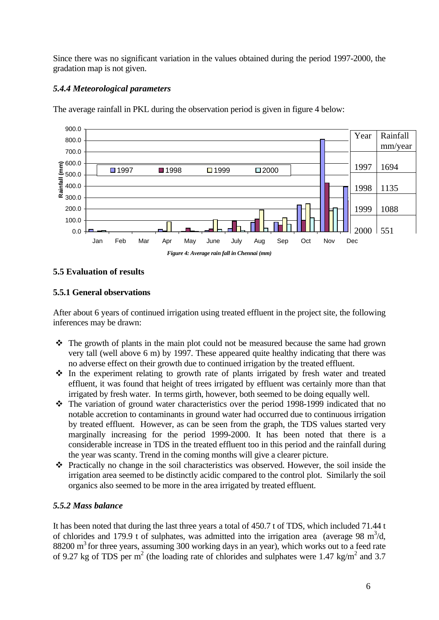Since there was no significant variation in the values obtained during the period 1997-2000, the gradation map is not given.

#### *5.4.4 Meteorological parameters*



The average rainfall in PKL during the observation period is given in figure 4 below:

#### <span id="page-11-0"></span>**5.5 Evaluation of results**

#### **5.5.1 General observations**

After about 6 years of continued irrigation using treated effluent in the project site, the following inferences may be drawn:

- \* The growth of plants in the main plot could not be measured because the same had grown very tall (well above 6 m) by 1997. These appeared quite healthy indicating that there was no adverse effect on their growth due to continued irrigation by the treated effluent.
- $\cdot$  In the experiment relating to growth rate of plants irrigated by fresh water and treated effluent, it was found that height of trees irrigated by effluent was certainly more than that irrigated by fresh water. In terms girth, however, both seemed to be doing equally well.
- \* The variation of ground water characteristics over the period 1998-1999 indicated that no notable accretion to contaminants in ground water had occurred due to continuous irrigation by treated effluent. However, as can be seen from the graph, the TDS values started very marginally increasing for the period 1999-2000. It has been noted that there is a considerable increase in TDS in the treated effluent too in this period and the rainfall during the year was scanty. Trend in the coming months will give a clearer picture.
- Practically no change in the soil characteristics was observed. However, the soil inside the irrigation area seemed to be distinctly acidic compared to the control plot. Similarly the soil organics also seemed to be more in the area irrigated by treated effluent.

#### *5.5.2 Mass balance*

It has been noted that during the last three years a total of 450.7 t of TDS, which included 71.44 t of chlorides and 179.9 t of sulphates, was admitted into the irrigation area (average 98 m<sup>3</sup>/d, 88200 m<sup>3</sup> for three years, assuming 300 working days in an year), which works out to a feed rate of 9.27 kg of TDS per  $m^2$  (the loading rate of chlorides and sulphates were 1.47 kg/m<sup>2</sup> and 3.7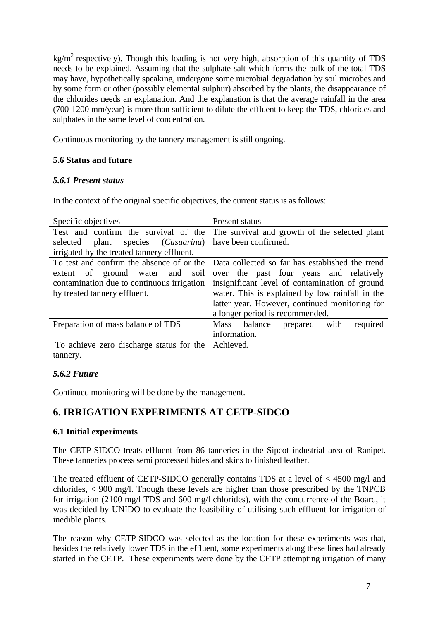$kg/m<sup>2</sup>$  respectively). Though this loading is not very high, absorption of this quantity of TDS needs to be explained. Assuming that the sulphate salt which forms the bulk of the total TDS may have, hypothetically speaking, undergone some microbial degradation by soil microbes and by some form or other (possibly elemental sulphur) absorbed by the plants, the disappearance of the chlorides needs an explanation. And the explanation is that the average rainfall in the area (700-1200 mm/year) is more than sufficient to dilute the effluent to keep the TDS, chlorides and sulphates in the same level of concentration.

Continuous monitoring by the tannery management is still ongoing.

## <span id="page-12-0"></span>**5.6 Status and future**

#### *5.6.1 Present status*

In the context of the original specific objectives, the current status is as follows:

| Specific objectives                        | Present status                                  |
|--------------------------------------------|-------------------------------------------------|
| Test and confirm the survival of the       | The survival and growth of the selected plant   |
| selected plant species (Casuarina)         | have been confirmed.                            |
| irrigated by the treated tannery effluent. |                                                 |
| To test and confirm the absence of or the  | Data collected so far has established the trend |
| extent of ground water and soil            | over the past four years and relatively         |
| contamination due to continuous irrigation | insignificant level of contamination of ground  |
| by treated tannery effluent.               | water. This is explained by low rainfall in the |
|                                            | latter year. However, continued monitoring for  |
|                                            | a longer period is recommended.                 |
| Preparation of mass balance of TDS         | required<br>Mass balance prepared with          |
|                                            | information.                                    |
| To achieve zero discharge status for the   | Achieved.                                       |
| tannery.                                   |                                                 |

#### *5.6.2 Future*

Continued monitoring will be done by the management.

## <span id="page-12-1"></span>**6. IRRIGATION EXPERIMENTS AT CETP-SIDCO**

#### <span id="page-12-2"></span>**6.1 Initial experiments**

The CETP-SIDCO treats effluent from 86 tanneries in the Sipcot industrial area of Ranipet. These tanneries process semi processed hides and skins to finished leather.

The treated effluent of CETP-SIDCO generally contains TDS at a level of < 4500 mg/l and chlorides, < 900 mg/l. Though these levels are higher than those prescribed by the TNPCB for irrigation (2100 mg/l TDS and 600 mg/l chlorides), with the concurrence of the Board, it was decided by UNIDO to evaluate the feasibility of utilising such effluent for irrigation of inedible plants.

The reason why CETP-SIDCO was selected as the location for these experiments was that, besides the relatively lower TDS in the effluent, some experiments along these lines had already started in the CETP. These experiments were done by the CETP attempting irrigation of many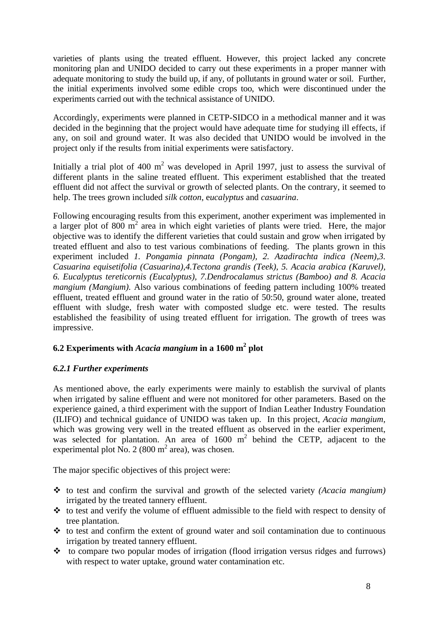varieties of plants using the treated effluent. However, this project lacked any concrete monitoring plan and UNIDO decided to carry out these experiments in a proper manner with adequate monitoring to study the build up, if any, of pollutants in ground water or soil. Further, the initial experiments involved some edible crops too, which were discontinued under the experiments carried out with the technical assistance of UNIDO.

Accordingly, experiments were planned in CETP-SIDCO in a methodical manner and it was decided in the beginning that the project would have adequate time for studying ill effects, if any, on soil and ground water. It was also decided that UNIDO would be involved in the project only if the results from initial experiments were satisfactory.

Initially a trial plot of 400  $m^2$  was developed in April 1997, just to assess the survival of different plants in the saline treated effluent. This experiment established that the treated effluent did not affect the survival or growth of selected plants. On the contrary, it seemed to help. The trees grown included *silk cotton*, e*ucalyptus* and *casuarina*.

Following encouraging results from this experiment, another experiment was implemented in a larger plot of 800  $m<sup>2</sup>$  area in which eight varieties of plants were tried. Here, the major objective was to identify the different varieties that could sustain and grow when irrigated by treated effluent and also to test various combinations of feeding. The plants grown in this experiment included *1. Pongamia pinnata (Pongam), 2. Azadirachta indica (Neem),3. Casuarina equisetifolia (Casuarina),4.Tectona grandis (Teek), 5. Acacia arabica (Karuvel), 6. Eucalyptus tereticornis (Eucalyptus), 7.Dendrocalamus strictus (Bamboo) and 8. Acacia mangium (Mangium).* Also various combinations of feeding pattern including 100% treated effluent, treated effluent and ground water in the ratio of 50:50, ground water alone, treated effluent with sludge, fresh water with composted sludge etc. were tested. The results established the feasibility of using treated effluent for irrigation. The growth of trees was impressive.

#### <span id="page-13-0"></span>**6.2 Experiments with** *Acacia mangium* **in a 1600 m<sup>2</sup> plot**

#### *6.2.1 Further experiments*

As mentioned above, the early experiments were mainly to establish the survival of plants when irrigated by saline effluent and were not monitored for other parameters. Based on the experience gained, a third experiment with the support of Indian Leather Industry Foundation (ILIFO) and technical guidance of UNIDO was taken up. In this project, *Acacia mangium,* which was growing very well in the treated effluent as observed in the earlier experiment, was selected for plantation. An area of  $1600 \text{ m}^2$  behind the CETP, adjacent to the experimental plot No. 2 (800 m<sup>2</sup> area), was chosen.

The major specific objectives of this project were:

- \* to test and confirm the survival and growth of the selected variety *(Acacia mangium)* irrigated by the treated tannery effluent.
- $\cdot$  to test and verify the volume of effluent admissible to the field with respect to density of tree plantation.
- $\cdot \cdot$  to test and confirm the extent of ground water and soil contamination due to continuous irrigation by treated tannery effluent.
- $\cdot \cdot$  to compare two popular modes of irrigation (flood irrigation versus ridges and furrows) with respect to water uptake, ground water contamination etc.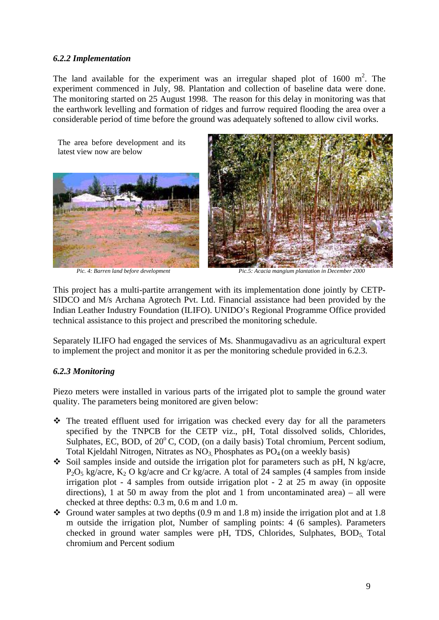#### *6.2.2 Implementation*

The land available for the experiment was an irregular shaped plot of  $1600 \text{ m}^2$ . The experiment commenced in July, 98. Plantation and collection of baseline data were done. The monitoring started on 25 August 1998. The reason for this delay in monitoring was that the earthwork levelling and formation of ridges and furrow required flooding the area over a considerable period of time before the ground was adequately softened to allow civil works.

The area before development and its latest view now are below





*Pic. 4: Barren land before development Pic.5: Acacia mangium plantation in December 2000*

This project has a multi-partite arrangement with its implementation done jointly by CETP-SIDCO and M/s Archana Agrotech Pvt. Ltd. Financial assistance had been provided by the Indian Leather Industry Foundation (ILIFO). UNIDO's Regional Programme Office provided technical assistance to this project and prescribed the monitoring schedule.

Separately ILIFO had engaged the services of Ms. Shanmugavadivu as an agricultural expert to implement the project and monitor it as per the monitoring schedule provided in 6.2.3.

#### *6.2.3 Monitoring*

Piezo meters were installed in various parts of the irrigated plot to sample the ground water quality. The parameters being monitored are given below:

- The treated effluent used for irrigation was checked every day for all the parameters specified by the TNPCB for the CETP viz., pH, Total dissolved solids, Chlorides, Sulphates, EC, BOD, of  $20^{\circ}$ C, COD, (on a daily basis) Total chromium, Percent sodium, Total Kjeldahl Nitrogen, Nitrates as  $NO<sub>3</sub>$  Phosphates as  $PO<sub>4</sub>$  (on a weekly basis)
- $\bullet$  Soil samples inside and outside the irrigation plot for parameters such as pH, N kg/acre,  $P_2O_5$  kg/acre, K<sub>2</sub> O kg/acre and Cr kg/acre. A total of 24 samples (4 samples from inside irrigation plot - 4 samples from outside irrigation plot - 2 at 25 m away (in opposite directions), 1 at 50 m away from the plot and 1 from uncontaminated area) – all were checked at three depths: 0.3 m, 0.6 m and 1.0 m.
- Ground water samples at two depths  $(0.9 \text{ m and } 1.8 \text{ m})$  inside the irrigation plot and at 1.8 m outside the irrigation plot, Number of sampling points: 4 (6 samples). Parameters checked in ground water samples were pH, TDS, Chlorides, Sulphates, BOD<sub>5,</sub> Total chromium and Percent sodium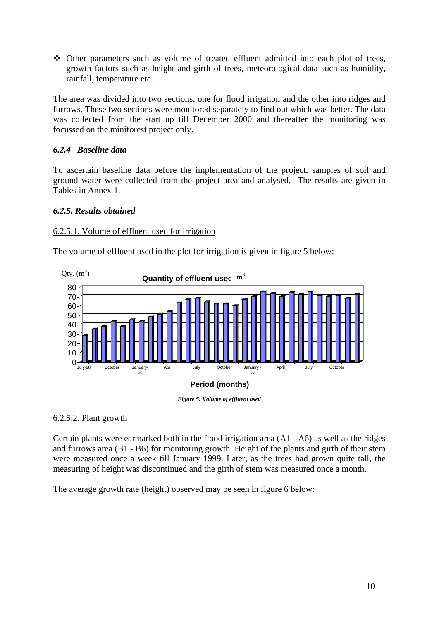Other parameters such as volume of treated effluent admitted into each plot of trees, growth factors such as height and girth of trees, meteorological data such as humidity, rainfall, temperature etc.

The area was divided into two sections, one for flood irrigation and the other into ridges and furrows. These two sections were monitored separately to find out which was better. The data was collected from the start up till December 2000 and thereafter the monitoring was focussed on the miniforest project only.

#### *6.2.4 Baseline data*

To ascertain baseline data before the implementation of the project, samples of soil and ground water were collected from the project area and analysed. The results are given in Tables in Annex 1.

#### *6.2.5. Results obtained*

#### 6.2.5.1. Volume of effluent used for irrigation

The volume of effluent used in the plot for irrigation is given in figure 5 below:



*Figure 5: Volume of effluent used*

#### 6.2.5.2. Plant growth

Certain plants were earmarked both in the flood irrigation area (A1 - A6) as well as the ridges and furrows area (B1 - B6) for monitoring growth. Height of the plants and girth of their stem were measured once a week till January 1999. Later, as the trees had grown quite tall, the measuring of height was discontinued and the girth of stem was measured once a month.

The average growth rate (height) observed may be seen in figure 6 below: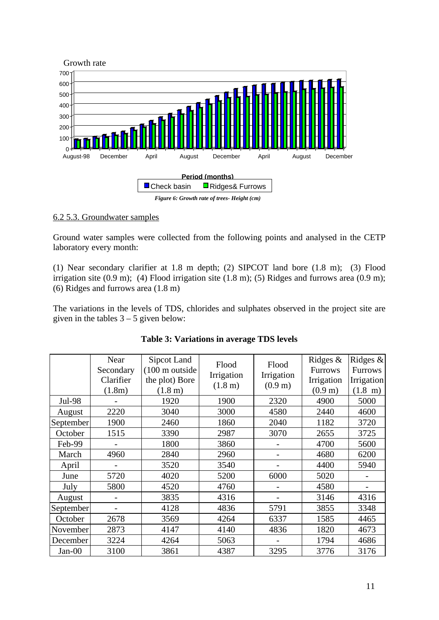

#### 6.2 5.3. Groundwater samples

Ground water samples were collected from the following points and analysed in the CETP laboratory every month:

(1) Near secondary clarifier at 1.8 m depth; (2) SIPCOT land bore (1.8 m); (3) Flood irrigation site (0.9 m); (4) Flood irrigation site (1.8 m); (5) Ridges and furrows area (0.9 m); (6) Ridges and furrows area (1.8 m)

The variations in the levels of TDS, chlorides and sulphates observed in the project site are given in the tables  $3 - 5$  given below:

|           | Near<br>Secondary<br>Clarifier<br>(1.8m) | Sipcot Land<br>(100 m outside<br>the plot) Bore<br>$(1.8 \text{ m})$ | Flood<br>Irrigation<br>$(1.8 \text{ m})$ | Flood<br>Irrigation<br>$(0.9 \text{ m})$ | Ridges &<br><b>Furrows</b><br>Irrigation<br>$(0.9 \text{ m})$ | Ridges $&$<br><b>Furrows</b><br>Irrigation<br>$(1.8 \; \text{m})$ |
|-----------|------------------------------------------|----------------------------------------------------------------------|------------------------------------------|------------------------------------------|---------------------------------------------------------------|-------------------------------------------------------------------|
| Jul-98    |                                          | 1920                                                                 | 1900                                     | 2320                                     | 4900                                                          | 5000                                                              |
| August    | 2220                                     | 3040                                                                 | 3000                                     | 4580                                     | 2440                                                          | 4600                                                              |
| September | 1900                                     | 2460                                                                 | 1860                                     | 2040                                     | 1182                                                          | 3720                                                              |
| October   | 1515                                     | 3390                                                                 | 2987                                     | 3070                                     | 2655                                                          | 3725                                                              |
| Feb-99    |                                          | 1800                                                                 | 3860                                     |                                          | 4700                                                          | 5600                                                              |
| March     | 4960                                     | 2840                                                                 | 2960                                     |                                          | 4680                                                          | 6200                                                              |
| April     |                                          | 3520                                                                 | 3540                                     |                                          | 4400                                                          | 5940                                                              |
| June      | 5720                                     | 4020                                                                 | 5200                                     | 6000                                     | 5020                                                          |                                                                   |
| July      | 5800                                     | 4520                                                                 | 4760                                     |                                          | 4580                                                          |                                                                   |
| August    |                                          | 3835                                                                 | 4316                                     |                                          | 3146                                                          | 4316                                                              |
| September |                                          | 4128                                                                 | 4836                                     | 5791                                     | 3855                                                          | 3348                                                              |
| October   | 2678                                     | 3569                                                                 | 4264                                     | 6337                                     | 1585                                                          | 4465                                                              |
| November  | 2873                                     | 4147                                                                 | 4140                                     | 4836                                     | 1820                                                          | 4673                                                              |
| December  | 3224                                     | 4264                                                                 | 5063                                     |                                          | 1794                                                          | 4686                                                              |
| $Jan-00$  | 3100                                     | 3861                                                                 | 4387                                     | 3295                                     | 3776                                                          | 3176                                                              |

#### **Table 3: Variations in average TDS levels**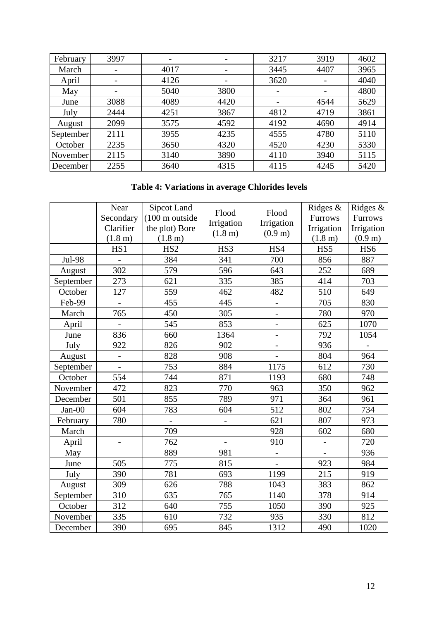| February  | 3997                     |      |      | 3217 | 3919                     | 4602 |
|-----------|--------------------------|------|------|------|--------------------------|------|
| March     |                          | 4017 |      | 3445 | 4407                     | 3965 |
| April     |                          | 4126 |      | 3620 | $\overline{\phantom{a}}$ | 4040 |
| May       | $\overline{\phantom{a}}$ | 5040 | 3800 |      | -                        | 4800 |
| June      | 3088                     | 4089 | 4420 |      | 4544                     | 5629 |
| July      | 2444                     | 4251 | 3867 | 4812 | 4719                     | 3861 |
| August    | 2099                     | 3575 | 4592 | 4192 | 4690                     | 4914 |
| September | 2111                     | 3955 | 4235 | 4555 | 4780                     | 5110 |
| October   | 2235                     | 3650 | 4320 | 4520 | 4230                     | 5330 |
| November  | 2115                     | 3140 | 3890 | 4110 | 3940                     | 5115 |
| December  | 2255                     | 3640 | 4315 | 4115 | 4245                     | 5420 |

# **Table 4: Variations in average Chlorides levels**

|               | Near<br>Secondary<br>Clarifier<br>$(1.8 \text{ m})$ | Sipcot Land<br>(100 m outside<br>the plot) Bore<br>$(1.8 \text{ m})$ | Flood<br>Irrigation<br>$(1.8 \text{ m})$ | Flood<br>Irrigation<br>$(0.9 \text{ m})$ | Ridges $&$<br>Furrows<br>Irrigation<br>$(1.8 \text{ m})$ | Ridges &<br>Furrows<br>Irrigation<br>(0.9 m) |
|---------------|-----------------------------------------------------|----------------------------------------------------------------------|------------------------------------------|------------------------------------------|----------------------------------------------------------|----------------------------------------------|
|               | HS1                                                 | HS <sub>2</sub>                                                      | HS3                                      | HS4                                      | HS5                                                      | HS6                                          |
| <b>Jul-98</b> |                                                     | 384                                                                  | 341                                      | 700                                      | 856                                                      | 887                                          |
| August        | 302                                                 | 579                                                                  | 596                                      | 643                                      | 252                                                      | 689                                          |
| September     | 273                                                 | 621                                                                  | 335                                      | 385                                      | 414                                                      | 703                                          |
| October       | 127                                                 | 559                                                                  | 462                                      | 482                                      | 510                                                      | 649                                          |
| Feb-99        | $\overline{a}$                                      | 455                                                                  | 445                                      | -                                        | 705                                                      | 830                                          |
| March         | 765                                                 | 450                                                                  | 305                                      | $\overline{\phantom{0}}$                 | 780                                                      | 970                                          |
| April         |                                                     | 545                                                                  | 853                                      | $\overline{\phantom{0}}$                 | 625                                                      | 1070                                         |
| June          | 836                                                 | 660                                                                  | 1364                                     | $\overline{\phantom{0}}$                 | 792                                                      | 1054                                         |
| July          | 922                                                 | 826                                                                  | 902                                      |                                          | 936                                                      |                                              |
| August        | $\overline{\phantom{0}}$                            | 828                                                                  | 908                                      |                                          | 804                                                      | 964                                          |
| September     |                                                     | 753                                                                  | 884                                      | 1175                                     | 612                                                      | 730                                          |
| October       | 554                                                 | 744                                                                  | 871                                      | 1193                                     | 680                                                      | 748                                          |
| November      | 472                                                 | 823                                                                  | 770                                      | 963                                      | 350                                                      | 962                                          |
| December      | 501                                                 | 855                                                                  | 789                                      | 971                                      | 364                                                      | 961                                          |
| Jan-00        | 604                                                 | 783                                                                  | 604                                      | 512                                      | 802                                                      | 734                                          |
| February      | 780                                                 | $\overline{a}$                                                       |                                          | 621                                      | 807                                                      | 973                                          |
| March         |                                                     | 709                                                                  |                                          | 928                                      | 602                                                      | 680                                          |
| April         | $\overline{\phantom{0}}$                            | 762                                                                  | $\overline{a}$                           | 910                                      | $\overline{\phantom{a}}$                                 | 720                                          |
| May           |                                                     | 889                                                                  | 981                                      | $\overline{\phantom{0}}$                 |                                                          | 936                                          |
| June          | 505                                                 | 775                                                                  | 815                                      |                                          | 923                                                      | 984                                          |
| July          | 390                                                 | 781                                                                  | 693                                      | 1199                                     | 215                                                      | 919                                          |
| August        | 309                                                 | 626                                                                  | 788                                      | 1043                                     | 383                                                      | 862                                          |
| September     | 310                                                 | 635                                                                  | 765                                      | 1140                                     | 378                                                      | 914                                          |
| October       | 312                                                 | 640                                                                  | 755                                      | 1050                                     | 390                                                      | 925                                          |
| November      | 335                                                 | 610                                                                  | 732                                      | 935                                      | 330                                                      | 812                                          |
| December      | 390                                                 | 695                                                                  | 845                                      | 1312                                     | 490                                                      | 1020                                         |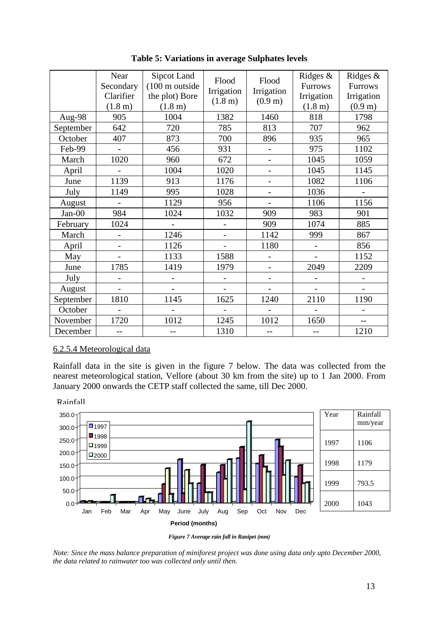|           | Near<br>Secondary<br>Clarifier<br>$(1.8 \text{ m})$ | Sipcot Land<br>(100 m outside<br>the plot) Bore<br>$(1.8 \text{ m})$ | Flood<br>Irrigation<br>$(1.8 \text{ m})$ | Flood<br>Irrigation<br>$(0.9 \text{ m})$ | Ridges $&$<br><b>Furrows</b><br>Irrigation<br>$(1.8 \text{ m})$ | Ridges $&$<br><b>Furrows</b><br>Irrigation<br>$(0.9 \text{ m})$ |
|-----------|-----------------------------------------------------|----------------------------------------------------------------------|------------------------------------------|------------------------------------------|-----------------------------------------------------------------|-----------------------------------------------------------------|
| Aug-98    | 905                                                 | 1004                                                                 | 1382                                     | 1460                                     | 818                                                             | 1798                                                            |
| September | 642                                                 | 720                                                                  | 785                                      | 813                                      | 707                                                             | 962                                                             |
| October   | 407                                                 | 873                                                                  | 700                                      | 896                                      | 935                                                             | 965                                                             |
| Feb-99    |                                                     | 456                                                                  | 931                                      | $\overline{a}$                           | 975                                                             | 1102                                                            |
| March     | 1020                                                | 960                                                                  | 672                                      | $\overline{a}$                           | 1045                                                            | 1059                                                            |
| April     |                                                     | 1004                                                                 | 1020                                     | $\overline{a}$                           | 1045                                                            | 1145                                                            |
| June      | 1139                                                | 913                                                                  | 1176                                     | $\overline{a}$                           | 1082                                                            | 1106                                                            |
| July      | 1149                                                | 995                                                                  | 1028                                     | $\overline{a}$                           | 1036                                                            |                                                                 |
| August    | $\overline{a}$                                      | 1129                                                                 | 956                                      | $\overline{a}$                           | 1106                                                            | 1156                                                            |
| Jan-00    | 984                                                 | 1024                                                                 | 1032                                     | 909                                      | 983                                                             | 901                                                             |
| February  | 1024                                                |                                                                      | $\overline{\phantom{a}}$                 | 909                                      | 1074                                                            | 885                                                             |
| March     | $\overline{a}$                                      | 1246                                                                 | $\blacksquare$                           | 1142                                     | 999                                                             | 867                                                             |
| April     | $\overline{a}$                                      | 1126                                                                 |                                          | 1180                                     | $\overline{\phantom{0}}$                                        | 856                                                             |
| May       | $\overline{a}$                                      | 1133                                                                 | 1588                                     | $\overline{\phantom{0}}$                 | $\overline{\phantom{0}}$                                        | 1152                                                            |
| June      | 1785                                                | 1419                                                                 | 1979                                     | $\overline{\phantom{0}}$                 | 2049                                                            | 2209                                                            |
| July      | -                                                   | $\overline{a}$                                                       | $\overline{\phantom{a}}$                 | -                                        |                                                                 |                                                                 |
| August    |                                                     |                                                                      |                                          |                                          |                                                                 |                                                                 |
| September | 1810                                                | 1145                                                                 | 1625                                     | 1240                                     | 2110                                                            | 1190                                                            |
| October   |                                                     |                                                                      |                                          |                                          |                                                                 |                                                                 |
| November  | 1720                                                | 1012                                                                 | 1245                                     | 1012                                     | 1650                                                            |                                                                 |
| December  |                                                     |                                                                      | 1310                                     |                                          |                                                                 | 1210                                                            |

**Table 5: Variations in average Sulphates levels** 

#### 6.2.5.4 Meteorological data

Rainfall data in the site is given in the figure 7 below. The data was collected from the nearest meteorological station, Vellore (about 30 km from the site) up to 1 Jan 2000. From January 2000 onwards the CETP staff collected the same, till Dec 2000.



*Figure 7 Average rain fall in Ranipet (mm)*

*Note: Since the mass balance preparation of miniforest project was done using data only upto December 2000, the data related to rainwater too was collected only until then.*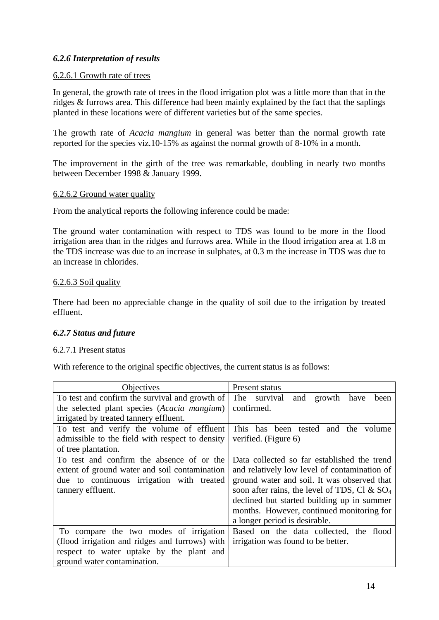#### *6.2.6 Interpretation of results*

#### 6.2.6.1 Growth rate of trees

In general, the growth rate of trees in the flood irrigation plot was a little more than that in the ridges & furrows area. This difference had been mainly explained by the fact that the saplings planted in these locations were of different varieties but of the same species.

The growth rate of *Acacia mangium* in general was better than the normal growth rate reported for the species viz.10-15% as against the normal growth of 8-10% in a month.

The improvement in the girth of the tree was remarkable, doubling in nearly two months between December 1998 & January 1999.

#### 6.2.6.2 Ground water quality

From the analytical reports the following inference could be made:

The ground water contamination with respect to TDS was found to be more in the flood irrigation area than in the ridges and furrows area. While in the flood irrigation area at 1.8 m the TDS increase was due to an increase in sulphates, at 0.3 m the increase in TDS was due to an increase in chlorides.

#### 6.2.6.3 Soil quality

There had been no appreciable change in the quality of soil due to the irrigation by treated effluent.

#### *6.2.7 Status and future*

#### 6.2.7.1 Present status

With reference to the original specific objectives, the current status is as follows:

| Objectives                                           | Present status                                             |
|------------------------------------------------------|------------------------------------------------------------|
| To test and confirm the survival and growth of       | The survival<br>and growth<br>have<br>been                 |
| the selected plant species ( <i>Acacia mangium</i> ) | confirmed.                                                 |
| irrigated by treated tannery effluent.               |                                                            |
| To test and verify the volume of effluent            | This has been tested<br>and the volume                     |
| admissible to the field with respect to density      | verified. (Figure 6)                                       |
| of tree plantation.                                  |                                                            |
| To test and confirm the absence of or the            | Data collected so far established the trend                |
| extent of ground water and soil contamination        | and relatively low level of contamination of               |
| due to continuous irrigation with treated            | ground water and soil. It was observed that                |
| tannery effluent.                                    | soon after rains, the level of TDS, Cl $&$ SO <sub>4</sub> |
|                                                      | declined but started building up in summer                 |
|                                                      | months. However, continued monitoring for                  |
|                                                      | a longer period is desirable.                              |
| To compare the two modes of irrigation               | Based on the data collected, the flood                     |
| (flood irrigation and ridges and furrows) with       | irrigation was found to be better.                         |
| respect to water uptake by the plant and             |                                                            |
| ground water contamination.                          |                                                            |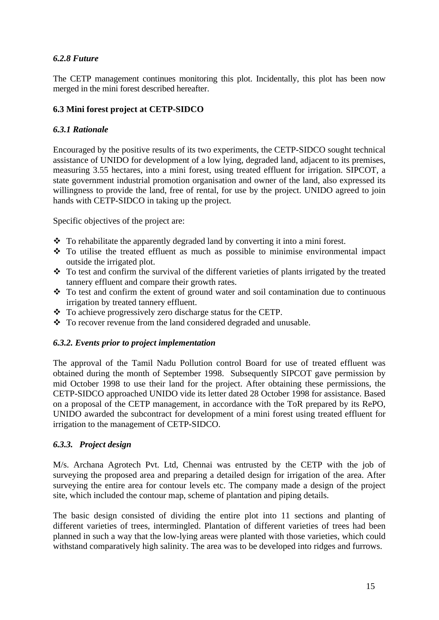#### *6.2.8 Future*

The CETP management continues monitoring this plot. Incidentally, this plot has been now merged in the mini forest described hereafter.

#### <span id="page-20-0"></span>**6.3 Mini forest project at CETP-SIDCO**

#### *6.3.1 Rationale*

Encouraged by the positive results of its two experiments, the CETP-SIDCO sought technical assistance of UNIDO for development of a low lying, degraded land, adjacent to its premises, measuring 3.55 hectares, into a mini forest, using treated effluent for irrigation. SIPCOT, a state government industrial promotion organisation and owner of the land, also expressed its willingness to provide the land, free of rental, for use by the project. UNIDO agreed to join hands with CETP-SIDCO in taking up the project.

Specific objectives of the project are:

- $\div$  To rehabilitate the apparently degraded land by converting it into a mini forest.
- $\cdot$  To utilise the treated effluent as much as possible to minimise environmental impact outside the irrigated plot.
- To test and confirm the survival of the different varieties of plants irrigated by the treated tannery effluent and compare their growth rates.
- $\cdot$  To test and confirm the extent of ground water and soil contamination due to continuous irrigation by treated tannery effluent.
- \* To achieve progressively zero discharge status for the CETP.
- \* To recover revenue from the land considered degraded and unusable.

#### *6.3.2. Events prior to project implementation*

The approval of the Tamil Nadu Pollution control Board for use of treated effluent was obtained during the month of September 1998. Subsequently SIPCOT gave permission by mid October 1998 to use their land for the project. After obtaining these permissions, the CETP-SIDCO approached UNIDO vide its letter dated 28 October 1998 for assistance. Based on a proposal of the CETP management, in accordance with the ToR prepared by its RePO, UNIDO awarded the subcontract for development of a mini forest using treated effluent for irrigation to the management of CETP-SIDCO.

#### *6.3.3. Project design*

M/s. Archana Agrotech Pvt. Ltd, Chennai was entrusted by the CETP with the job of surveying the proposed area and preparing a detailed design for irrigation of the area. After surveying the entire area for contour levels etc. The company made a design of the project site, which included the contour map, scheme of plantation and piping details.

The basic design consisted of dividing the entire plot into 11 sections and planting of different varieties of trees, intermingled. Plantation of different varieties of trees had been planned in such a way that the low-lying areas were planted with those varieties, which could withstand comparatively high salinity. The area was to be developed into ridges and furrows.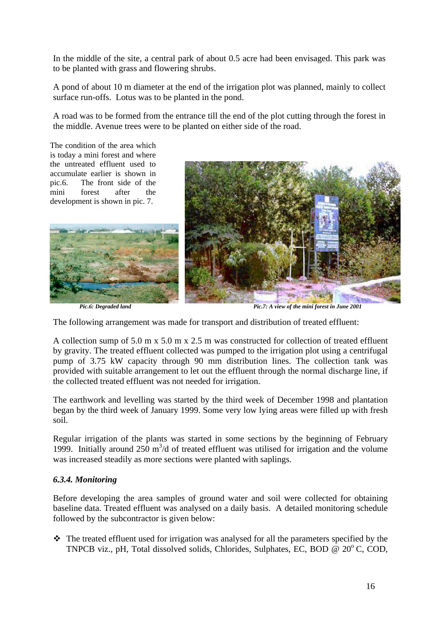In the middle of the site, a central park of about 0.5 acre had been envisaged. This park was to be planted with grass and flowering shrubs.

A pond of about 10 m diameter at the end of the irrigation plot was planned, mainly to collect surface run-offs. Lotus was to be planted in the pond.

A road was to be formed from the entrance till the end of the plot cutting through the forest in the middle. Avenue trees were to be planted on either side of the road.

The condition of the area which is today a mini forest and where the untreated effluent used to accumulate earlier is shown in pic.6. The front side of the mini forest after the development is shown in pic. 7.





*Pic.6: Degraded land Pic.7: A view of the mini forest in June 2001*

The following arrangement was made for transport and distribution of treated effluent:

A collection sump of 5.0 m x 5.0 m x 2.5 m was constructed for collection of treated effluent by gravity. The treated effluent collected was pumped to the irrigation plot using a centrifugal pump of 3.75 kW capacity through 90 mm distribution lines. The collection tank was provided with suitable arrangement to let out the effluent through the normal discharge line, if the collected treated effluent was not needed for irrigation.

The earthwork and levelling was started by the third week of December 1998 and plantation began by the third week of January 1999. Some very low lying areas were filled up with fresh soil.

Regular irrigation of the plants was started in some sections by the beginning of February 1999. Initially around  $250 \text{ m}^3$ /d of treated effluent was utilised for irrigation and the volume was increased steadily as more sections were planted with saplings.

#### *6.3.4. Monitoring*

Before developing the area samples of ground water and soil were collected for obtaining baseline data. Treated effluent was analysed on a daily basis. A detailed monitoring schedule followed by the subcontractor is given below:

 $\div$  The treated effluent used for irrigation was analysed for all the parameters specified by the TNPCB viz., pH, Total dissolved solids, Chlorides, Sulphates, EC, BOD  $@20^{\circ}$ C, COD,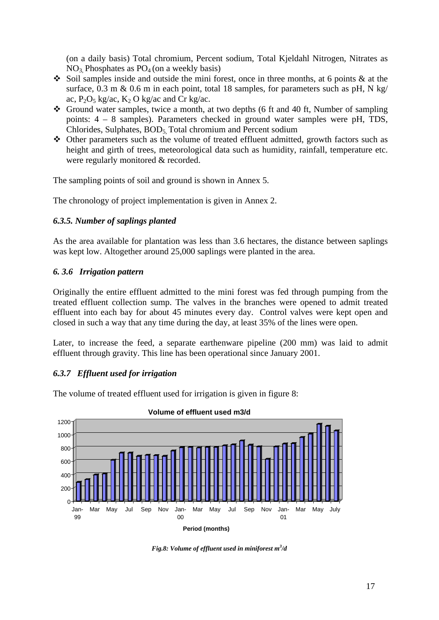(on a daily basis) Total chromium, Percent sodium, Total Kjeldahl Nitrogen, Nitrates as  $NO<sub>3</sub>$  Phosphates as  $PO<sub>4</sub>$  (on a weekly basis)

- $\div$  Soil samples inside and outside the mini forest, once in three months, at 6 points & at the surface,  $0.3$  m &  $0.6$  m in each point, total 18 samples, for parameters such as pH, N kg/ ac,  $P_2O_5$  kg/ac,  $K_2$  O kg/ac and Cr kg/ac.
- Ground water samples, twice a month, at two depths (6 ft and 40 ft, Number of sampling points: 4 – 8 samples). Parameters checked in ground water samples were pH, TDS, Chlorides, Sulphates,  $BOD<sub>5</sub>$  Total chromium and Percent sodium
- Other parameters such as the volume of treated effluent admitted, growth factors such as height and girth of trees, meteorological data such as humidity, rainfall, temperature etc. were regularly monitored & recorded.

The sampling points of soil and ground is shown in Annex 5.

The chronology of project implementation is given in Annex 2.

#### *6.3.5. Number of saplings planted*

As the area available for plantation was less than 3.6 hectares, the distance between saplings was kept low. Altogether around 25,000 saplings were planted in the area.

#### *6. 3.6 Irrigation pattern*

Originally the entire effluent admitted to the mini forest was fed through pumping from the treated effluent collection sump. The valves in the branches were opened to admit treated effluent into each bay for about 45 minutes every day. Control valves were kept open and closed in such a way that any time during the day, at least 35% of the lines were open.

Later, to increase the feed, a separate earthenware pipeline (200 mm) was laid to admit effluent through gravity. This line has been operational since January 2001.

#### *6.3.7 Effluent used for irrigation*

The volume of treated effluent used for irrigation is given in figure 8:



**Volume of effluent used m3/d**

*Fig.8: Volume of effluent used in miniforest m<sup>3</sup> /d*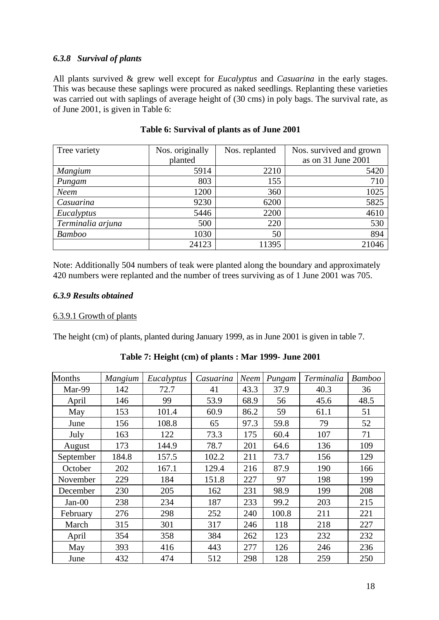#### *6.3.8 Survival of plants*

All plants survived & grew well except for *Eucalyptus* and *Casuarina* in the early stages. This was because these saplings were procured as naked seedlings. Replanting these varieties was carried out with saplings of average height of (30 cms) in poly bags. The survival rate, as of June 2001, is given in Table 6:

| Tree variety      | Nos. originally | Nos. replanted | Nos. survived and grown |  |
|-------------------|-----------------|----------------|-------------------------|--|
|                   | planted         |                | as on 31 June 2001      |  |
| <b>Mangium</b>    | 5914            | 2210           | 5420                    |  |
| Pungam            | 803             | 155            | 710                     |  |
| Neem              | 1200            | 360            | 1025                    |  |
| Casuarina         | 9230            | 6200           | 5825                    |  |
| Eucalyptus        | 5446            | 2200           | 4610                    |  |
| Terminalia arjuna | 500             | 220            | 530                     |  |
| <b>Bamboo</b>     | 1030            | 50             | 894                     |  |
|                   | 24123           | 11395          | 21046                   |  |

#### **Table 6: Survival of plants as of June 2001**

Note: Additionally 504 numbers of teak were planted along the boundary and approximately 420 numbers were replanted and the number of trees surviving as of 1 June 2001 was 705.

#### *6.3.9 Results obtained*

#### 6.3.9.1 Growth of plants

The height (cm) of plants, planted during January 1999, as in June 2001 is given in table 7.

| <b>Months</b> | Mangium | Eucalyptus | Casuarina | Neem | Pungam | Terminalia | <b>Bamboo</b> |
|---------------|---------|------------|-----------|------|--------|------------|---------------|
| Mar-99        | 142     | 72.7       | 41        | 43.3 | 37.9   | 40.3       | 36            |
| April         | 146     | 99         | 53.9      | 68.9 | 56     | 45.6       | 48.5          |
| May           | 153     | 101.4      | 60.9      | 86.2 | 59     | 61.1       | 51            |
| June          | 156     | 108.8      | 65        | 97.3 | 59.8   | 79         | 52            |
| July          | 163     | 122        | 73.3      | 175  | 60.4   | 107        | 71            |
| August        | 173     | 144.9      | 78.7      | 201  | 64.6   | 136        | 109           |
| September     | 184.8   | 157.5      | 102.2     | 211  | 73.7   | 156        | 129           |
| October       | 202     | 167.1      | 129.4     | 216  | 87.9   | 190        | 166           |
| November      | 229     | 184        | 151.8     | 227  | 97     | 198        | 199           |
| December      | 230     | 205        | 162       | 231  | 98.9   | 199        | 208           |
| $Jan-00$      | 238     | 234        | 187       | 233  | 99.2   | 203        | 215           |
| February      | 276     | 298        | 252       | 240  | 100.8  | 211        | 221           |
| March         | 315     | 301        | 317       | 246  | 118    | 218        | 227           |
| April         | 354     | 358        | 384       | 262  | 123    | 232        | 232           |
| May           | 393     | 416        | 443       | 277  | 126    | 246        | 236           |
| June          | 432     | 474        | 512       | 298  | 128    | 259        | 250           |

#### **Table 7: Height (cm) of plants : Mar 1999- June 2001**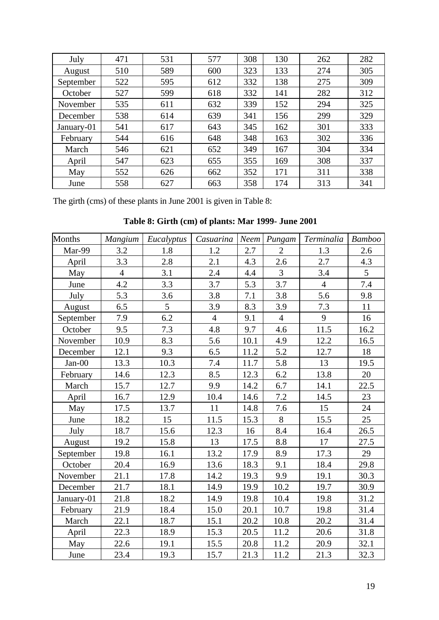| July       | 471 | 531 | 577 | 308 | 130 | 262 | 282 |
|------------|-----|-----|-----|-----|-----|-----|-----|
| August     | 510 | 589 | 600 | 323 | 133 | 274 | 305 |
| September  | 522 | 595 | 612 | 332 | 138 | 275 | 309 |
| October    | 527 | 599 | 618 | 332 | 141 | 282 | 312 |
| November   | 535 | 611 | 632 | 339 | 152 | 294 | 325 |
| December   | 538 | 614 | 639 | 341 | 156 | 299 | 329 |
| January-01 | 541 | 617 | 643 | 345 | 162 | 301 | 333 |
| February   | 544 | 616 | 648 | 348 | 163 | 302 | 336 |
| March      | 546 | 621 | 652 | 349 | 167 | 304 | 334 |
| April      | 547 | 623 | 655 | 355 | 169 | 308 | 337 |
| May        | 552 | 626 | 662 | 352 | 171 | 311 | 338 |
| June       | 558 | 627 | 663 | 358 | 174 | 313 | 341 |

The girth (cms) of these plants in June 2001 is given in Table 8:

## **Table 8: Girth (cm) of plants: Mar 1999- June 2001**

| <b>Months</b> | Mangium        | Eucalyptus | Casuarina      | Neem | Pungam         | Terminalia     | <b>Bamboo</b>  |
|---------------|----------------|------------|----------------|------|----------------|----------------|----------------|
| Mar-99        | 3.2            | 1.8        | 1.2            | 2.7  | $\overline{2}$ | 1.3            | 2.6            |
| April         | 3.3            | 2.8        | 2.1            | 4.3  | 2.6            | 2.7            | 4.3            |
| May           | $\overline{4}$ | 3.1        | 2.4            | 4.4  | $\overline{3}$ | 3.4            | 5 <sup>5</sup> |
| June          | 4.2            | 3.3        | 3.7            | 5.3  | 3.7            | $\overline{4}$ | 7.4            |
| July          | 5.3            | 3.6        | 3.8            | 7.1  | 3.8            | 5.6            | 9.8            |
| August        | 6.5            | 5          | 3.9            | 8.3  | 3.9            | 7.3            | 11             |
| September     | 7.9            | 6.2        | $\overline{4}$ | 9.1  | $\overline{4}$ | 9              | 16             |
| October       | 9.5            | 7.3        | 4.8            | 9.7  | 4.6            | 11.5           | 16.2           |
| November      | 10.9           | 8.3        | 5.6            | 10.1 | 4.9            | 12.2           | 16.5           |
| December      | 12.1           | 9.3        | 6.5            | 11.2 | 5.2            | 12.7           | 18             |
| $Jan-00$      | 13.3           | 10.3       | 7.4            | 11.7 | 5.8            | 13             | 19.5           |
| February      | 14.6           | 12.3       | 8.5            | 12.3 | 6.2            | 13.8           | 20             |
| March         | 15.7           | 12.7       | 9.9            | 14.2 | 6.7            | 14.1           | 22.5           |
| April         | 16.7           | 12.9       | 10.4           | 14.6 | 7.2            | 14.5           | 23             |
| May           | 17.5           | 13.7       | 11             | 14.8 | 7.6            | 15             | 24             |
| June          | 18.2           | 15         | 11.5           | 15.3 | 8              | 15.5           | 25             |
| July          | 18.7           | 15.6       | 12.3           | 16   | 8.4            | 16.4           | 26.5           |
| August        | 19.2           | 15.8       | 13             | 17.5 | 8.8            | 17             | 27.5           |
| September     | 19.8           | 16.1       | 13.2           | 17.9 | 8.9            | 17.3           | 29             |
| October       | 20.4           | 16.9       | 13.6           | 18.3 | 9.1            | 18.4           | 29.8           |
| November      | 21.1           | 17.8       | 14.2           | 19.3 | 9.9            | 19.1           | 30.3           |
| December      | 21.7           | 18.1       | 14.9           | 19.9 | 10.2           | 19.7           | 30.9           |
| January-01    | 21.8           | 18.2       | 14.9           | 19.8 | 10.4           | 19.8           | 31.2           |
| February      | 21.9           | 18.4       | 15.0           | 20.1 | 10.7           | 19.8           | 31.4           |
| March         | 22.1           | 18.7       | 15.1           | 20.2 | 10.8           | 20.2           | 31.4           |
| April         | 22.3           | 18.9       | 15.3           | 20.5 | 11.2           | 20.6           | 31.8           |
| May           | 22.6           | 19.1       | 15.5           | 20.8 | 11.2           | 20.9           | 32.1           |
| June          | 23.4           | 19.3       | 15.7           | 21.3 | 11.2           | 21.3           | 32.3           |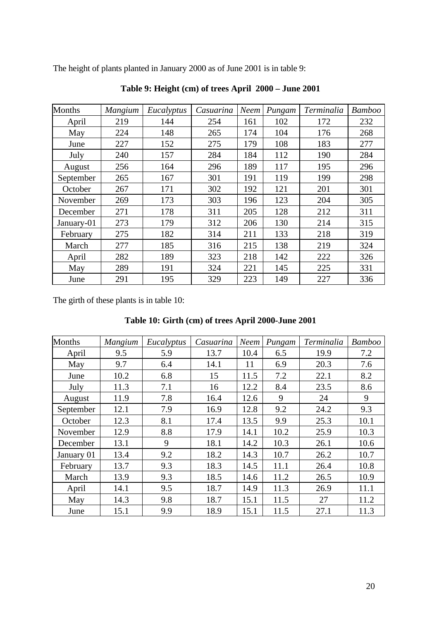The height of plants planted in January 2000 as of June 2001 is in table 9:

| Months     | <b>Mangium</b> | Eucalyptus | Casuarina | Neem | Pungam | Terminalia | <b>Bamboo</b> |
|------------|----------------|------------|-----------|------|--------|------------|---------------|
| April      | 219            | 144        | 254       | 161  | 102    | 172        | 232           |
| May        | 224            | 148        | 265       | 174  | 104    | 176        | 268           |
| June       | 227            | 152        | 275       | 179  | 108    | 183        | 277           |
| July       | 240            | 157        | 284       | 184  | 112    | 190        | 284           |
| August     | 256            | 164        | 296       | 189  | 117    | 195        | 296           |
| September  | 265            | 167        | 301       | 191  | 119    | 199        | 298           |
| October    | 267            | 171        | 302       | 192  | 121    | 201        | 301           |
| November   | 269            | 173        | 303       | 196  | 123    | 204        | 305           |
| December   | 271            | 178        | 311       | 205  | 128    | 212        | 311           |
| January-01 | 273            | 179        | 312       | 206  | 130    | 214        | 315           |
| February   | 275            | 182        | 314       | 211  | 133    | 218        | 319           |
| March      | 277            | 185        | 316       | 215  | 138    | 219        | 324           |
| April      | 282            | 189        | 323       | 218  | 142    | 222        | 326           |
| May        | 289            | 191        | 324       | 221  | 145    | 225        | 331           |
| June       | 291            | 195        | 329       | 223  | 149    | 227        | 336           |

**Table 9: Height (cm) of trees April 2000 – June 2001**

The girth of these plants is in table 10:

|  | Table 10: Girth (cm) of trees April 2000-June 2001 |  |  |  |  |  |
|--|----------------------------------------------------|--|--|--|--|--|
|--|----------------------------------------------------|--|--|--|--|--|

| <b>Months</b> | Mangium | Eucalyptus | Casuarina | Neem | Pungam | Terminalia | <b>Bamboo</b> |
|---------------|---------|------------|-----------|------|--------|------------|---------------|
| April         | 9.5     | 5.9        | 13.7      | 10.4 | 6.5    | 19.9       | 7.2           |
| May           | 9.7     | 6.4        | 14.1      | 11   | 6.9    | 20.3       | 7.6           |
| June          | 10.2    | 6.8        | 15        | 11.5 | 7.2    | 22.1       | 8.2           |
| July          | 11.3    | 7.1        | 16        | 12.2 | 8.4    | 23.5       | 8.6           |
| August        | 11.9    | 7.8        | 16.4      | 12.6 | 9      | 24         | 9             |
| September     | 12.1    | 7.9        | 16.9      | 12.8 | 9.2    | 24.2       | 9.3           |
| October       | 12.3    | 8.1        | 17.4      | 13.5 | 9.9    | 25.3       | 10.1          |
| November      | 12.9    | 8.8        | 17.9      | 14.1 | 10.2   | 25.9       | 10.3          |
| December      | 13.1    | 9          | 18.1      | 14.2 | 10.3   | 26.1       | 10.6          |
| January 01    | 13.4    | 9.2        | 18.2      | 14.3 | 10.7   | 26.2       | 10.7          |
| February      | 13.7    | 9.3        | 18.3      | 14.5 | 11.1   | 26.4       | 10.8          |
| March         | 13.9    | 9.3        | 18.5      | 14.6 | 11.2   | 26.5       | 10.9          |
| April         | 14.1    | 9.5        | 18.7      | 14.9 | 11.3   | 26.9       | 11.1          |
| May           | 14.3    | 9.8        | 18.7      | 15.1 | 11.5   | 27         | 11.2          |
| June          | 15.1    | 9.9        | 18.9      | 15.1 | 11.5   | 27.1       | 11.3          |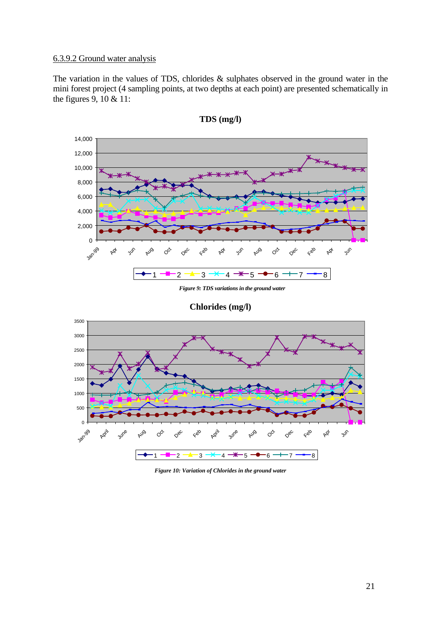#### 6.3.9.2 Ground water analysis

The variation in the values of TDS, chlorides  $\&$  sulphates observed in the ground water in the mini forest project (4 sampling points, at two depths at each point) are presented schematically in the figures 9, 10 & 11:





*Figure 9: TDS variations in the ground water*



**Chlorides (mg/l)**

*Figure 10: Variation of Chlorides in the ground water*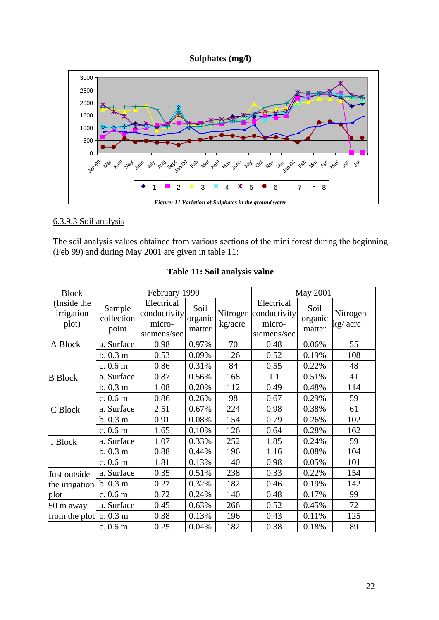



#### 6.3.9.3 Soil analysis

The soil analysis values obtained from various sections of the mini forest during the beginning (Feb 99) and during May 2001 are given in table 11:

| <b>Block</b>                       | February 1999                 |                                                     |                           |         | <b>May 2001</b>                                              |                           |                     |  |
|------------------------------------|-------------------------------|-----------------------------------------------------|---------------------------|---------|--------------------------------------------------------------|---------------------------|---------------------|--|
| (Inside the<br>irrigation<br>plot) | Sample<br>collection<br>point | Electrical<br>conductivity<br>micro-<br>siemens/sec | Soil<br>organic<br>matter | kg/acre | Electrical<br>Nitrogen conductivity<br>micro-<br>siemens/sec | Soil<br>organic<br>matter | Nitrogen<br>kg/acre |  |
| A Block                            | a. Surface                    | 0.98                                                | 0.97%                     | 70      | 0.48                                                         | 0.06%                     | 55                  |  |
|                                    | b. 0.3 m                      | 0.53                                                | 0.09%                     | 126     | 0.52                                                         | 0.19%                     | 108                 |  |
|                                    | c. 0.6 m                      | 0.86                                                | 0.31%                     | 84      | 0.55                                                         | 0.22%                     | 48                  |  |
| <b>B</b> Block                     | a. Surface                    | 0.87                                                | 0.56%                     | 168     | 1.1                                                          | 0.51%                     | 41                  |  |
|                                    | b. 0.3 m                      | 1.08                                                | 0.20%                     | 112     | 0.49                                                         | 0.48%                     | 114                 |  |
|                                    | c. 0.6 m                      | 0.86                                                | 0.26%                     | 98      | 0.67                                                         | 0.29%                     | 59                  |  |
| C Block                            | a. Surface                    | 2.51                                                | 0.67%                     | 224     | 0.98                                                         | 0.38%                     | 61                  |  |
|                                    | b. 0.3 m                      | 0.91                                                | 0.08%                     | 154     | 0.79                                                         | 0.26%                     | 102                 |  |
|                                    | c. 0.6 m                      | 1.65                                                | 0.10%                     | 126     | 0.64                                                         | 0.28%                     | 162                 |  |
| I Block                            | a. Surface                    | 1.07                                                | 0.33%                     | 252     | 1.85                                                         | 0.24%                     | 59                  |  |
|                                    | b. 0.3 m                      | 0.88                                                | 0.44%                     | 196     | 1.16                                                         | 0.08%                     | 104                 |  |
|                                    | c.0.6 <sub>m</sub>            | 1.81                                                | 0.13%                     | 140     | 0.98                                                         | 0.05%                     | 101                 |  |
| Just outside                       | a. Surface                    | 0.35                                                | 0.51%                     | 238     | 0.33                                                         | 0.22%                     | 154                 |  |
| the irrigation                     | b. 0.3 m                      | 0.27                                                | 0.32%                     | 182     | 0.46                                                         | 0.19%                     | 142                 |  |
| plot                               | c. 0.6 m                      | 0.72                                                | 0.24%                     | 140     | 0.48                                                         | 0.17%                     | 99                  |  |
| 50 m away                          | a. Surface                    | 0.45                                                | 0.63%                     | 266     | 0.52                                                         | 0.45%                     | 72                  |  |
| from the plot                      | b. 0.3 m                      | 0.38                                                | 0.13%                     | 196     | 0.43                                                         | 0.11%                     | 125                 |  |
|                                    | c. 0.6 m                      | 0.25                                                | 0.04%                     | 182     | 0.38                                                         | 0.18%                     | 89                  |  |

## **Table 11: Soil analysis value**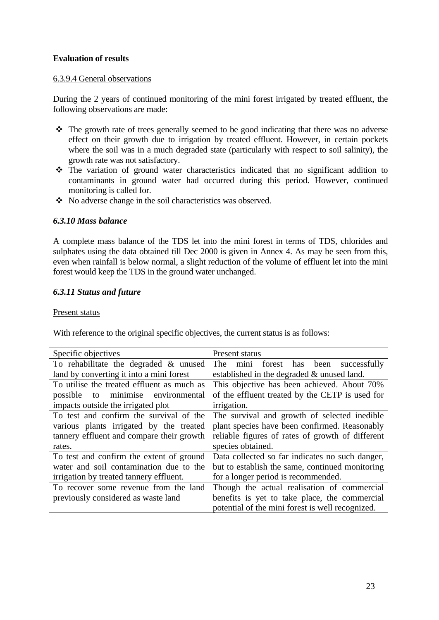#### **Evaluation of results**

#### 6.3.9.4 General observations

During the 2 years of continued monitoring of the mini forest irrigated by treated effluent, the following observations are made:

- $\div$  The growth rate of trees generally seemed to be good indicating that there was no adverse effect on their growth due to irrigation by treated effluent. However, in certain pockets where the soil was in a much degraded state (particularly with respect to soil salinity), the growth rate was not satisfactory.
- The variation of ground water characteristics indicated that no significant addition to contaminants in ground water had occurred during this period. However, continued monitoring is called for.
- No adverse change in the soil characteristics was observed.

#### *6.3.10 Mass balance*

A complete mass balance of the TDS let into the mini forest in terms of TDS, chlorides and sulphates using the data obtained till Dec 2000 is given in Annex 4. As may be seen from this, even when rainfall is below normal, a slight reduction of the volume of effluent let into the mini forest would keep the TDS in the ground water unchanged.

#### *6.3.11 Status and future*

#### Present status

With reference to the original specific objectives, the current status is as follows:

| Specific objectives                        | Present status                                   |  |  |  |  |
|--------------------------------------------|--------------------------------------------------|--|--|--|--|
| To rehabilitate the degraded $\&$ unused   | mini forest has been successfully<br>The         |  |  |  |  |
| land by converting it into a mini forest   | established in the degraded & unused land.       |  |  |  |  |
| To utilise the treated effluent as much as | This objective has been achieved. About 70%      |  |  |  |  |
| possible to minimise environmental         | of the effluent treated by the CETP is used for  |  |  |  |  |
| impacts outside the irrigated plot         | irrigation.                                      |  |  |  |  |
| To test and confirm the survival of the    | The survival and growth of selected inedible     |  |  |  |  |
| various plants irrigated by the treated    | plant species have been confirmed. Reasonably    |  |  |  |  |
| tannery effluent and compare their growth  | reliable figures of rates of growth of different |  |  |  |  |
| rates.                                     | species obtained.                                |  |  |  |  |
| To test and confirm the extent of ground   | Data collected so far indicates no such danger,  |  |  |  |  |
| water and soil contamination due to the    | but to establish the same, continued monitoring  |  |  |  |  |
| irrigation by treated tannery effluent.    | for a longer period is recommended.              |  |  |  |  |
| To recover some revenue from the land      | Though the actual realisation of commercial      |  |  |  |  |
| previously considered as waste land        | benefits is yet to take place, the commercial    |  |  |  |  |
|                                            | potential of the mini forest is well recognized. |  |  |  |  |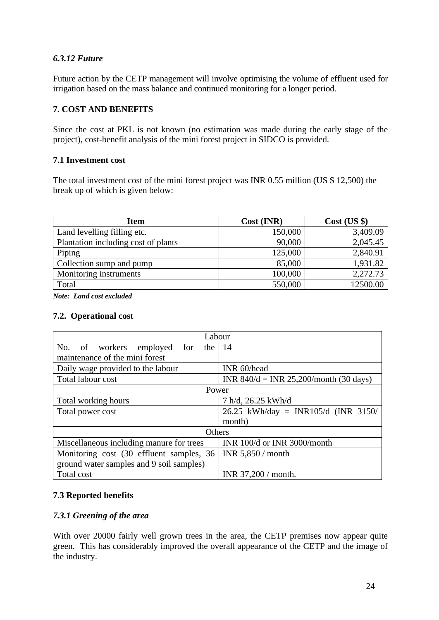#### *6.3.12 Future*

Future action by the CETP management will involve optimising the volume of effluent used for irrigation based on the mass balance and continued monitoring for a longer period.

#### <span id="page-29-0"></span>**7. COST AND BENEFITS**

Since the cost at PKL is not known (no estimation was made during the early stage of the project), cost-benefit analysis of the mini forest project in SIDCO is provided.

#### <span id="page-29-1"></span>**7.1 Investment cost**

The total investment cost of the mini forest project was INR 0.55 million (US \$ 12,500) the break up of which is given below:

| <b>Item</b>                         | Cost (INR) | Cost (US \$) |
|-------------------------------------|------------|--------------|
| Land levelling filling etc.         | 150,000    | 3,409.09     |
| Plantation including cost of plants | 90,000     | 2,045.45     |
| Piping                              | 125,000    | 2,840.91     |
| Collection sump and pump            | 85,000     | 1,931.82     |
| Monitoring instruments              | 100,000    | 2,272.73     |
| Total                               | 550,000    | 12500.00     |

*Note: Land cost excluded* 

#### <span id="page-29-2"></span>**7.2. Operational cost**

| Labour                                   |                                          |  |  |
|------------------------------------------|------------------------------------------|--|--|
| No. of workers employed for<br>the       | -14                                      |  |  |
| maintenance of the mini forest           |                                          |  |  |
| Daily wage provided to the labour        | INR 60/head                              |  |  |
| Total labour cost                        | INR $840/d =$ INR 25,200/month (30 days) |  |  |
| Power                                    |                                          |  |  |
| Total working hours                      | 7 h/d, 26.25 kWh/d                       |  |  |
| Total power cost                         | $26.25$ kWh/day = INR105/d (INR 3150/    |  |  |
|                                          | month)                                   |  |  |
| Others                                   |                                          |  |  |
| Miscellaneous including manure for trees | INR 100/d or INR 3000/month              |  |  |
| Monitoring cost (30 effluent samples, 36 | INR $5,850/$ month                       |  |  |
| ground water samples and 9 soil samples) |                                          |  |  |
| Total cost                               | INR 37,200 / month.                      |  |  |

#### <span id="page-29-3"></span>**7.3 Reported benefits**

#### *7.3.1 Greening of the area*

With over 20000 fairly well grown trees in the area, the CETP premises now appear quite green. This has considerably improved the overall appearance of the CETP and the image of the industry.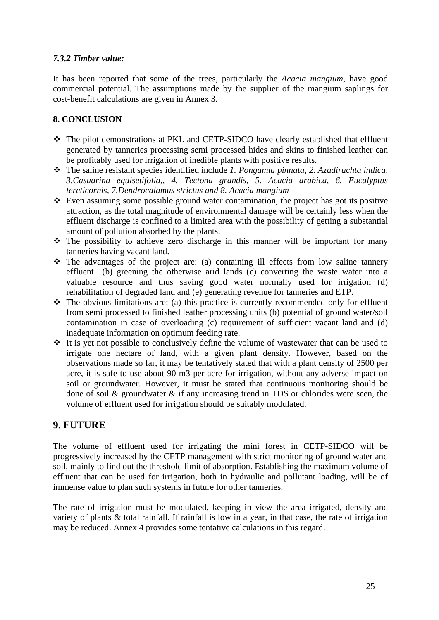#### *7.3.2 Timber value:*

It has been reported that some of the trees, particularly the *Acacia mangium*, have good commercial potential. The assumptions made by the supplier of the mangium saplings for cost-benefit calculations are given in Annex 3.

#### <span id="page-30-0"></span>**8. CONCLUSION**

- The pilot demonstrations at PKL and CETP-SIDCO have clearly established that effluent generated by tanneries processing semi processed hides and skins to finished leather can be profitably used for irrigation of inedible plants with positive results.
- The saline resistant species identified include *1. Pongamia pinnata, 2. Azadirachta indica, 3.Casuarina equisetifolia,, 4. Tectona grandis, 5. Acacia arabica, 6. Eucalyptus tereticornis, 7.Dendrocalamus strictus and 8. Acacia mangium*
- $\triangle$  Even assuming some possible ground water contamination, the project has got its positive attraction, as the total magnitude of environmental damage will be certainly less when the effluent discharge is confined to a limited area with the possibility of getting a substantial amount of pollution absorbed by the plants.
- $\hat{\cdot}$  The possibility to achieve zero discharge in this manner will be important for many tanneries having vacant land.
- $\triangle$  The advantages of the project are: (a) containing ill effects from low saline tannery effluent (b) greening the otherwise arid lands (c) converting the waste water into a valuable resource and thus saving good water normally used for irrigation (d) rehabilitation of degraded land and (e) generating revenue for tanneries and ETP.
- $\triangle$  The obvious limitations are: (a) this practice is currently recommended only for effluent from semi processed to finished leather processing units (b) potential of ground water/soil contamination in case of overloading (c) requirement of sufficient vacant land and (d) inadequate information on optimum feeding rate.
- $\cdot \cdot$  It is yet not possible to conclusively define the volume of wastewater that can be used to irrigate one hectare of land, with a given plant density. However, based on the observations made so far, it may be tentatively stated that with a plant density of 2500 per acre, it is safe to use about 90 m3 per acre for irrigation, without any adverse impact on soil or groundwater. However, it must be stated that continuous monitoring should be done of soil  $\&$  groundwater  $\&$  if any increasing trend in TDS or chlorides were seen, the volume of effluent used for irrigation should be suitably modulated.

## <span id="page-30-1"></span>**9. FUTURE**

The volume of effluent used for irrigating the mini forest in CETP-SIDCO will be progressively increased by the CETP management with strict monitoring of ground water and soil, mainly to find out the threshold limit of absorption. Establishing the maximum volume of effluent that can be used for irrigation, both in hydraulic and pollutant loading, will be of immense value to plan such systems in future for other tanneries.

The rate of irrigation must be modulated, keeping in view the area irrigated, density and variety of plants & total rainfall. If rainfall is low in a year, in that case, the rate of irrigation may be reduced. Annex 4 provides some tentative calculations in this regard.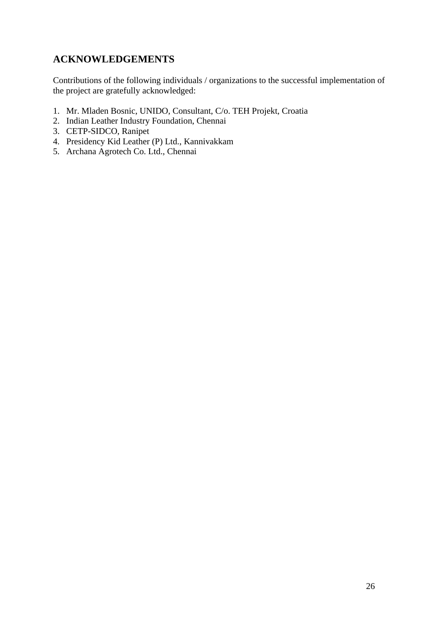## **ACKNOWLEDGEMENTS**

Contributions of the following individuals / organizations to the successful implementation of the project are gratefully acknowledged:

- 1. Mr. Mladen Bosnic, UNIDO, Consultant, C/o. TEH Projekt, Croatia
- 2. Indian Leather Industry Foundation, Chennai
- 3. CETP-SIDCO, Ranipet
- 4. Presidency Kid Leather (P) Ltd., Kannivakkam
- 5. Archana Agrotech Co. Ltd., Chennai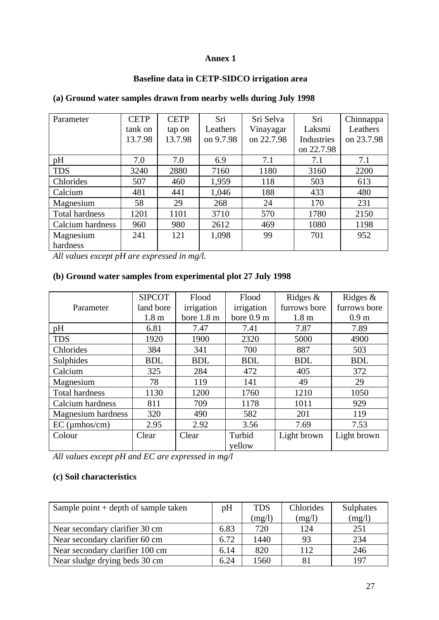#### **Annex 1**

#### **Baseline data in CETP-SIDCO irrigation area**

#### Parameter CETP tank on 13.7.98 **CETP** tap on 13.7.98 Sri Leathers on 9.7.98 Sri Selva Vinayagar on 22.7.98 Sri Laksmi Industries on 22.7.98 Chinnappa Leathers on 23.7.98 pH 7.0 7.0 6.9 7.1 7.1 7.1 TDS | 3240 | 2880 | 7160 | 1180 | 3160 | 2200 Chlorides | 507 | 460 | 1,959 | 118 | 503 | 613 Calcium 1981 481 441 1,046 188 433 480 Magnesium | 58 | 29 | 268 | 24 | 170 | 231 Total hardness 1 201 1101 3710 570 1780 2150 Calcium hardness 960 980 2612 469 1080 1198<br>Magnesium 241 121 1,098 99 701 952 Magnesium hardness 241 | 121 | 1,098 | 99 | 701 | 952

#### **(a) Ground water samples drawn from nearby wells during July 1998**

*All values except pH are expressed in mg/l.*

#### **(b) Ground water samples from experimental plot 27 July 1998**

|                       | <b>SIPCOT</b>    | Flood      | Flood      | Ridges $&$       | Ridges $&$       |
|-----------------------|------------------|------------|------------|------------------|------------------|
| Parameter             | land bore        | irrigation | irrigation | furrows bore     | furrows bore     |
|                       | 1.8 <sub>m</sub> | bore 1.8 m | bore 0.9 m | 1.8 <sub>m</sub> | 0.9 <sub>m</sub> |
| pH                    | 6.81             | 7.47       | 7.41       | 7.87             | 7.89             |
| <b>TDS</b>            | 1920             | 1900       | 2320       | 5000             | 4900             |
| Chlorides             | 384              | 341        | 700        | 887              | 503              |
| Sulphides             | <b>BDL</b>       | <b>BDL</b> | <b>BDL</b> | <b>BDL</b>       | <b>BDL</b>       |
| Calcium               | 325              | 284        | 472        | 405              | 372              |
| Magnesium             | 78               | 119        | 141        | 49               | 29               |
| <b>Total hardness</b> | 1130             | 1200       | 1760       | 1210             | 1050             |
| Calcium hardness      | 811              | 709        | 1178       | 1011             | 929              |
| Magnesium hardness    | 320              | 490        | 582        | 201              | 119              |
| $EC$ ( $\mu$ mhos/cm) | 2.95             | 2.92       | 3.56       | 7.69             | 7.53             |
| Colour                | Clear            | Clear      | Turbid     | Light brown      | Light brown      |
|                       |                  |            | vellow     |                  |                  |

*All values except pH and EC are expressed in mg/l*

#### **(c) Soil characteristics**

| Sample point $+$ depth of sample taken |      | <b>TDS</b> | Chlorides   | Sulphates |
|----------------------------------------|------|------------|-------------|-----------|
|                                        |      | (mg/l)     | (mg/l)      | (mg/l)    |
| Near secondary clarifier 30 cm         | 6.83 | 720        | 124         | 251       |
| Near secondary clarifier 60 cm         | 6.72 | 1440       | 93          | 234       |
| Near secondary clarifier 100 cm        | 6.14 | 820        | 112         | 246       |
| Near sludge drying beds 30 cm          | 6.24 | 1560       | $8^{\circ}$ | 197       |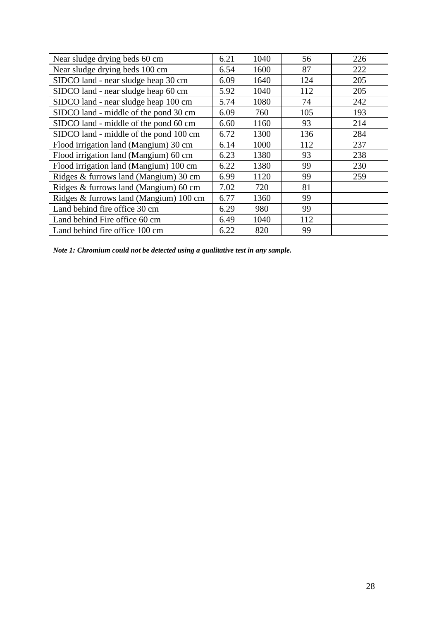| Near sludge drying beds 60 cm          | 6.21 | 1040 | 56  | 226 |
|----------------------------------------|------|------|-----|-----|
| Near sludge drying beds 100 cm         | 6.54 | 1600 | 87  | 222 |
| SIDCO land - near sludge heap 30 cm    | 6.09 | 1640 | 124 | 205 |
| SIDCO land - near sludge heap 60 cm    | 5.92 | 1040 | 112 | 205 |
| SIDCO land - near sludge heap 100 cm   | 5.74 | 1080 | 74  | 242 |
| SIDCO land - middle of the pond 30 cm  | 6.09 | 760  | 105 | 193 |
| SIDCO land - middle of the pond 60 cm  | 6.60 | 1160 | 93  | 214 |
| SIDCO land - middle of the pond 100 cm | 6.72 | 1300 | 136 | 284 |
| Flood irrigation land (Mangium) 30 cm  | 6.14 | 1000 | 112 | 237 |
| Flood irrigation land (Mangium) 60 cm  | 6.23 | 1380 | 93  | 238 |
| Flood irrigation land (Mangium) 100 cm | 6.22 | 1380 | 99  | 230 |
| Ridges & furrows land (Mangium) 30 cm  | 6.99 | 1120 | 99  | 259 |
| Ridges & furrows land (Mangium) 60 cm  | 7.02 | 720  | 81  |     |
| Ridges & furrows land (Mangium) 100 cm | 6.77 | 1360 | 99  |     |
| Land behind fire office 30 cm          | 6.29 | 980  | 99  |     |
| Land behind Fire office 60 cm          | 6.49 | 1040 | 112 |     |
| Land behind fire office 100 cm         | 6.22 | 820  | 99  |     |

*Note 1: Chromium could not be detected using a qualitative test in any sample.*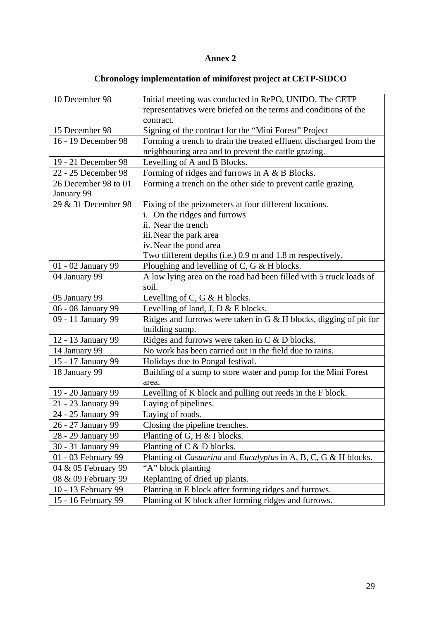## **Annex 2**

## **Chronology implementation of miniforest project at CETP-SIDCO**

| 10 December 98       | Initial meeting was conducted in RePO, UNIDO. The CETP                       |
|----------------------|------------------------------------------------------------------------------|
|                      | representatives were briefed on the terms and conditions of the              |
|                      | contract.                                                                    |
| 15 December 98       | Signing of the contract for the "Mini Forest" Project                        |
| 16 - 19 December 98  | Forming a trench to drain the treated effluent discharged from the           |
|                      | neighbouring area and to prevent the cattle grazing.                         |
| 19 - 21 December 98  | Levelling of A and B Blocks.                                                 |
| 22 - 25 December 98  | Forming of ridges and furrows in A & B Blocks.                               |
| 26 December 98 to 01 | Forming a trench on the other side to prevent cattle grazing.                |
| January 99           |                                                                              |
| 29 & 31 December 98  | Fixing of the peizometers at four different locations.                       |
|                      | i. On the ridges and furrows                                                 |
|                      | ii. Near the trench                                                          |
|                      | iii. Near the park area                                                      |
|                      | iv. Near the pond area                                                       |
|                      | Two different depths (i.e.) 0.9 m and 1.8 m respectively.                    |
| 01 - 02 January 99   | Ploughing and levelling of C, G & H blocks.                                  |
| 04 January 99        | A low lying area on the road had been filled with 5 truck loads of           |
|                      | soil.                                                                        |
| 05 January 99        | Levelling of C, G $&$ H blocks.                                              |
| 06 - 08 January 99   | Levelling of land, J, D & E blocks.                                          |
| 09 - 11 January 99   | Ridges and furrows were taken in G $&$ H blocks, digging of pit for          |
|                      | building sump.                                                               |
| 12 - 13 January 99   | Ridges and furrows were taken in C & D blocks.                               |
| 14 January 99        | No work has been carried out in the field due to rains.                      |
| 15 - 17 January 99   | Holidays due to Pongal festival.                                             |
| 18 January 99        | Building of a sump to store water and pump for the Mini Forest               |
|                      | area.                                                                        |
| 19 - 20 January 99   | Levelling of K block and pulling out reeds in the F block.                   |
| 21 - 23 January 99   | Laying of pipelines.                                                         |
| 24 - 25 January 99   | Laying of roads.                                                             |
| 26 - 27 January 99   | Closing the pipeline trenches.                                               |
| 28 - 29 January 99   | Planting of G, H & I blocks.                                                 |
| 30 - 31 January 99   | Planting of C & D blocks.                                                    |
| 01 - 03 February 99  | Planting of <i>Casuarina</i> and <i>Eucalyptus</i> in A, B, C, G & H blocks. |
| 04 & 05 February 99  | "A" block planting                                                           |
| 08 & 09 February 99  | Replanting of dried up plants.                                               |
| 10 - 13 February 99  | Planting in E block after forming ridges and furrows.                        |
| 15 - 16 February 99  |                                                                              |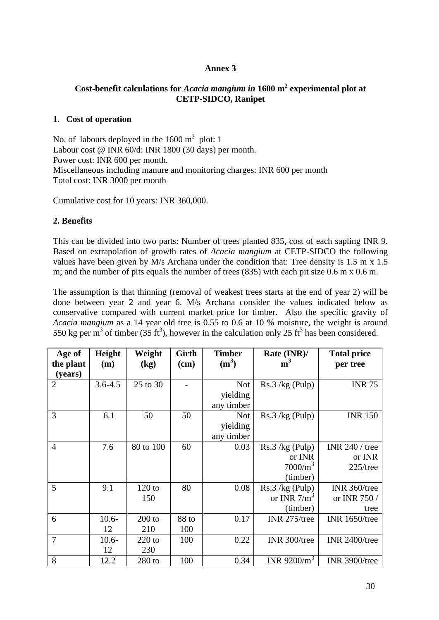#### **Annex 3**

#### **Cost-benefit calculations for** *Acacia mangium in* **1600 m2 experimental plot at CETP-SIDCO, Ranipet**

#### **1. Cost of operation**

No. of labours deployed in the  $1600 \text{ m}^2$  plot: 1 Labour cost @ INR 60/d: INR 1800 (30 days) per month. Power cost: INR 600 per month. Miscellaneous including manure and monitoring charges: INR 600 per month Total cost: INR 3000 per month

Cumulative cost for 10 years: INR 360,000.

#### **2. Benefits**

This can be divided into two parts: Number of trees planted 835, cost of each sapling INR 9. Based on extrapolation of growth rates of *Acacia mangium* at CETP-SIDCO the following values have been given by M/s Archana under the condition that: Tree density is 1.5 m x 1.5 m; and the number of pits equals the number of trees (835) with each pit size 0.6 m x 0.6 m.

The assumption is that thinning (removal of weakest trees starts at the end of year 2) will be done between year 2 and year 6. M/s Archana consider the values indicated below as conservative compared with current market price for timber. Also the specific gravity of *Acacia mangium* as a 14 year old tree is 0.55 to 0.6 at 10 % moisture, the weight is around 550 kg per  $\text{m}^3$  of timber (35 ft<sup>3</sup>), however in the calculation only 25 ft<sup>3</sup> has been considered.

| Age of<br>the plant | Height<br>(m) | Weight<br>(kg) | <b>Girth</b><br>$(cm)$ | <b>Timber</b><br>$(m^3)$ | Rate (INR)/<br>$m^{\circ}$     | <b>Total price</b><br>per tree |
|---------------------|---------------|----------------|------------------------|--------------------------|--------------------------------|--------------------------------|
| (years)             |               |                |                        |                          |                                |                                |
| $\overline{2}$      | $3.6 - 4.5$   | 25 to 30       |                        | <b>Not</b>               | $\text{Rs.3}/\text{kg}$ (Pulp) | <b>INR 75</b>                  |
|                     |               |                |                        | yielding                 |                                |                                |
|                     |               |                |                        | any timber               |                                |                                |
| 3                   | 6.1           | 50             | 50                     | <b>Not</b>               | $\text{Rs.3}/\text{kg}$ (Pulp) | <b>INR 150</b>                 |
|                     |               |                |                        | yielding                 |                                |                                |
|                     |               |                |                        | any timber               |                                |                                |
| $\overline{4}$      | 7.6           | 80 to 100      | 60                     | 0.03                     | $\text{Rs.3}/\text{kg}$ (Pulp) | INR $240/$ tree                |
|                     |               |                |                        |                          | or INR                         | or INR                         |
|                     |               |                |                        |                          | $7000/m^3$                     | $225$ /tree                    |
|                     |               |                |                        |                          | (timber)                       |                                |
| 5                   | 9.1           | $120$ to       | 80                     | 0.08                     | Rs.3/kg (Pulp)                 | INR 360/tree                   |
|                     |               | 150            |                        |                          | or INR $7/m^3$                 | or INR 750 /                   |
|                     |               |                |                        |                          | (timber)                       | tree                           |
| 6                   | $10.6 -$      | $200$ to       | 88 to                  | 0.17                     | INR 275/tree                   | <b>INR</b> 1650/tree           |
|                     | 12            | 210            | 100                    |                          |                                |                                |
| $\overline{7}$      | $10.6 -$      | $220$ to       | 100                    | 0.22                     | INR 300/tree                   | <b>INR 2400/tree</b>           |
|                     | 12            | 230            |                        |                          |                                |                                |
| 8                   | 12.2          | $280$ to       | 100                    | 0.34                     | INR $9200/m^3$                 | INR 3900/tree                  |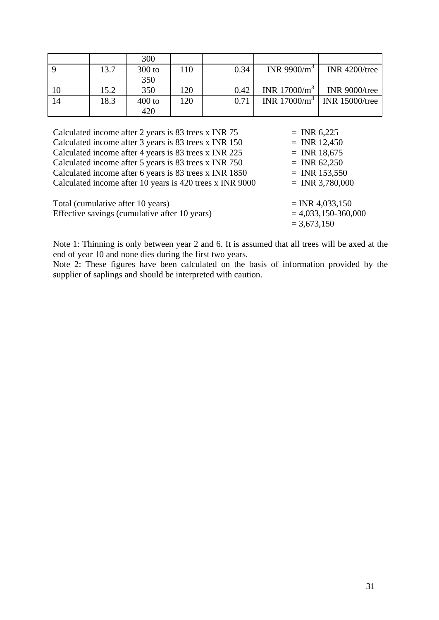|    |      | 300      |     |      |                |                       |
|----|------|----------|-----|------|----------------|-----------------------|
|    | 13.7 | $300$ to | 110 | 0.34 | INR $9900/m3$  | <b>INR 4200/tree</b>  |
|    |      | 350      |     |      |                |                       |
|    | 15.2 | 350      | 120 | 0.42 | INR $17000/m3$ | INR 9000/tree         |
| 14 | 18.3 | $400$ to | 120 | 0.71 | INR $17000/m3$ | <b>INR</b> 15000/tree |
|    |      | 420      |     |      |                |                       |

Calculated income after 2 years is  $83$  trees x INR  $75$  = INR  $6,225$ Calculated income after 3 years is 83 trees x INR 150  $=$  INR 12,450 Calculated income after 4 years is 83 trees x INR 225  $=$  INR 18,675 Calculated income after 5 years is 83 trees x INR 750  $=$  INR 62,250 Calculated income after 6 years is  $83$  trees x INR  $1850$  = INR  $153,550$ Calculated income after 10 years is 420 trees x INR 9000  $=$  INR 3,780,000 Total (cumulative after 10 years)  $=$  INR 4,033,150 Effective savings (cumulative after 10 years)  $= 4,033,150-360,000$ 

Note 1: Thinning is only between year 2 and 6. It is assumed that all trees will be axed at the end of year 10 and none dies during the first two years.

 $= 3,673,150$ 

Note 2: These figures have been calculated on the basis of information provided by the supplier of saplings and should be interpreted with caution.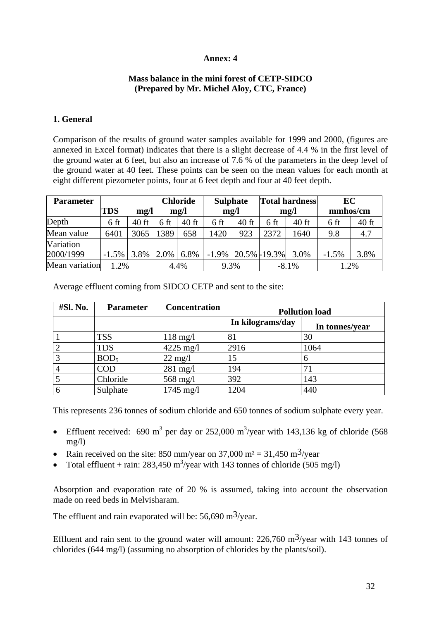#### **Annex: 4**

#### **Mass balance in the mini forest of CETP-SIDCO (Prepared by Mr. Michel Aloy, CTC, France)**

#### **1. General**

Comparison of the results of ground water samples available for 1999 and 2000, (figures are annexed in Excel format) indicates that there is a slight decrease of 4.4 % in the first level of the ground water at 6 feet, but also an increase of 7.6 % of the parameters in the deep level of the ground water at 40 feet. These points can be seen on the mean values for each month at eight different piezometer points, four at 6 feet depth and four at 40 feet depth.

| <b>Parameter</b> |            |         | <b>Chloride</b> |         | <b>Sulphate</b> |         | <b>Total hardness</b>   |          | EC       |         |
|------------------|------------|---------|-----------------|---------|-----------------|---------|-------------------------|----------|----------|---------|
|                  | <b>TDS</b> | mg/l    |                 | mg/l    | mg/l            |         |                         | mg/l     | mmhos/cm |         |
| Depth            | 6 ft       | $40$ ft | 6 ft            | $40$ ft | 6 ft            | $40$ ft | 6 ft                    | $40$ ft  | 6 ft     | $40$ ft |
| Mean value       | 6401       | 3065    | 1389            | 658     | 1420            | 923     | 2372                    | 1640     | 9.8      | 4.7     |
| Variation        |            |         |                 |         |                 |         |                         |          |          |         |
| 2000/1999        | $-1.5\%$   | 3.8%    | 2.0%            | 6.8%    | $-1.9\%$        |         | $ 20.5\% $ + 19.3% 3.0% |          | $-1.5%$  | 3.8%    |
| Mean variation   | 1.2%       |         |                 | 4.4%    | 9.3%            |         |                         | $-8.1\%$ | 1.2%     |         |

Average effluent coming from SIDCO CETP and sent to the site:

| #Sl. No. | <b>Parameter</b> | <b>Concentration</b> | <b>Pollution load</b> |                |  |
|----------|------------------|----------------------|-----------------------|----------------|--|
|          |                  |                      | In kilograms/day      | In tonnes/year |  |
|          | <b>TSS</b>       | $118 \text{ mg}/1$   | 81                    | 30             |  |
|          | <b>TDS</b>       | $4225 \text{ mg}/1$  | 2916                  | 1064           |  |
| 2        | BOD <sub>5</sub> | $22 \text{ mg}/l$    | 15                    |                |  |
|          | <b>COD</b>       | $281 \text{ mg}/1$   | 194                   |                |  |
|          | Chloride         | $568 \text{ mg}/l$   | 392                   | 143            |  |
| 6        | Sulphate         | $1745 \text{ mg}/1$  | 1204                  | 440            |  |

This represents 236 tonnes of sodium chloride and 650 tonnes of sodium sulphate every year.

- Effluent received: 690 m<sup>3</sup> per day or 252,000 m<sup>3</sup>/year with 143,136 kg of chloride (568)  $mg/l)$
- Rain received on the site: 850 mm/year on 37,000 m<sup>2</sup> = 31,450 m<sup>3</sup>/year
- Total effluent + rain:  $283,450 \text{ m}^3/\text{year}$  with 143 tonnes of chloride (505 mg/l)

Absorption and evaporation rate of 20 % is assumed, taking into account the observation made on reed beds in Melvisharam.

The effluent and rain evaporated will be:  $56,690$  m<sup>3</sup>/year.

Effluent and rain sent to the ground water will amount:  $226,760$  m<sup>3</sup>/year with 143 tonnes of chlorides (644 mg/l) (assuming no absorption of chlorides by the plants/soil).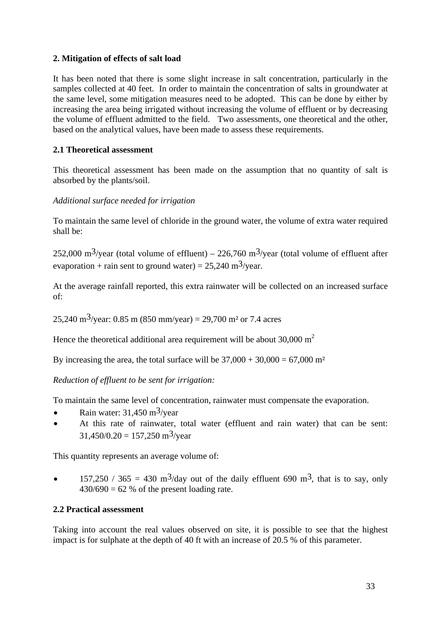#### **2. Mitigation of effects of salt load**

It has been noted that there is some slight increase in salt concentration, particularly in the samples collected at 40 feet. In order to maintain the concentration of salts in groundwater at the same level, some mitigation measures need to be adopted. This can be done by either by increasing the area being irrigated without increasing the volume of effluent or by decreasing the volume of effluent admitted to the field. Two assessments, one theoretical and the other, based on the analytical values, have been made to assess these requirements.

#### **2.1 Theoretical assessment**

This theoretical assessment has been made on the assumption that no quantity of salt is absorbed by the plants/soil.

#### *Additional surface needed for irrigation*

To maintain the same level of chloride in the ground water, the volume of extra water required shall be:

252,000 m<sup>3</sup>/year (total volume of effluent) – 226,760 m<sup>3</sup>/year (total volume of effluent after evaporation + rain sent to ground water) =  $25,240$  m<sup>3</sup>/year.

At the average rainfall reported, this extra rainwater will be collected on an increased surface of:

25,240 m<sup>3</sup>/year: 0.85 m (850 mm/year) = 29,700 m<sup>2</sup> or 7.4 acres

Hence the theoretical additional area requirement will be about 30,000  $m<sup>2</sup>$ 

By increasing the area, the total surface will be  $37,000 + 30,000 = 67,000$  m<sup>2</sup>

*Reduction of effluent to be sent for irrigation:*

To maintain the same level of concentration, rainwater must compensate the evaporation.

- Rain water:  $31,450 \text{ m}^3/\text{year}$
- At this rate of rainwater, total water (effluent and rain water) that can be sent:  $31,450/0.20 = 157,250 \text{ m}^3/\text{year}$

This quantity represents an average volume of:

• 157,250 / 365 = 430 m<sup>3</sup>/day out of the daily effluent 690 m<sup>3</sup>, that is to say, only  $430/690 = 62$  % of the present loading rate.

#### **2.2 Practical assessment**

Taking into account the real values observed on site, it is possible to see that the highest impact is for sulphate at the depth of 40 ft with an increase of 20.5 % of this parameter.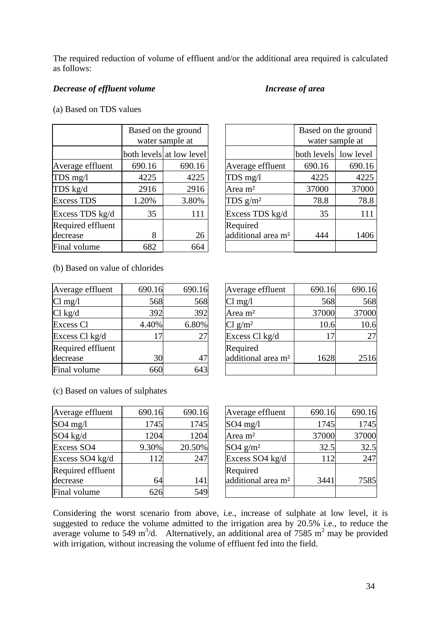The required reduction of volume of effluent and/or the additional area required is calculated as follows:

#### *Decrease of effluent volume Increase of area*

| (a) Based on TDS values |  |  |  |
|-------------------------|--|--|--|
|-------------------------|--|--|--|

|                   | Based on the ground<br>water sample at |                          |  |                                | Based on the ground   | water sample at |
|-------------------|----------------------------------------|--------------------------|--|--------------------------------|-----------------------|-----------------|
|                   |                                        | both levels at low level |  |                                | both levels low level |                 |
| Average effluent  | 690.16                                 | 690.16                   |  | Average effluent               | 690.16                | 690.16          |
| $TDS$ mg/l        | 4225                                   | 4225                     |  | $TDS$ mg/l                     | 4225                  | 4225            |
| $TDS$ kg/d        | 2916                                   | 2916                     |  | Area m <sup>2</sup>            | 37000                 | 37000           |
| <b>Excess TDS</b> | 1.20%                                  | 3.80%                    |  | TDS $g/m^2$                    | 78.8                  | 78.8            |
| Excess TDS kg/d   | 35                                     | 111                      |  | Excess TDS kg/d                | 35                    | 111             |
| Required effluent |                                        |                          |  | Required                       |                       |                 |
| decrease          | 8                                      | 26                       |  | additional area m <sup>2</sup> | 444                   | 1406            |
| Final volume      | 682                                    | 664                      |  |                                |                       |                 |

| Based on the ground<br>water sample at |                          |                                | Based on the ground<br>water sample at |           |
|----------------------------------------|--------------------------|--------------------------------|----------------------------------------|-----------|
|                                        | both levels at low level |                                | both levels                            | low level |
| 690.16                                 | 690.16                   | Average effluent               | 690.16                                 | 690.16    |
| 4225                                   | 4225                     | $TDS$ mg/l                     | 4225                                   | 4225      |
| 2916                                   | 2916                     | Area m <sup>2</sup>            | 37000                                  | 37000     |
| 1.20%                                  | 3.80%                    | TDS $g/m^2$                    | 78.8                                   | 78.8      |
| 35                                     | 111                      | Excess TDS kg/d                | 35                                     |           |
|                                        |                          | Required                       |                                        |           |
| 8                                      | 26                       | additional area m <sup>2</sup> | 444                                    | 1406      |
| 682                                    | 664                      |                                |                                        |           |

(b) Based on value of chlorides

| Average effluent  | 690.16 | 690.16 | Average effluent               | 690.16 | 690.16 |
|-------------------|--------|--------|--------------------------------|--------|--------|
| $Cl$ mg/l         | 568    | 568    | $Cl$ mg/l                      | 568    | 568    |
| $Cl$ kg/d         | 392    | 392    | Area m <sup>2</sup>            | 37000  | 37000  |
| Excess Cl         | 4.40%  | 6.80%  | Cl g/m <sup>2</sup>            | 10.6   | 10.6   |
| Excess Cl kg/d    | 17     | 27     | Excess Cl kg/d                 | 17     | 27     |
| Required effluent |        |        | Required                       |        |        |
| decrease          | 30     | 47     | additional area m <sup>2</sup> | 1628   | 2516   |
| Final volume      | 660    | 643    |                                |        |        |

| Average effluent               | 690.16 | 690.16 |
|--------------------------------|--------|--------|
| $Cl$ mg/l                      | 568    | 568    |
| Area m <sup>2</sup>            | 37000  | 37000  |
| Cl g/m <sup>2</sup>            | 10.6   | 10.6   |
| Excess Cl kg/d                 | 17     |        |
| Required                       |        |        |
| additional area m <sup>2</sup> | 1628   | 2516   |
|                                |        |        |

(c) Based on values of sulphates

| Average effluent  | 690.16 | 690.16 | Average effluent               | 690.16 | 690.16 |
|-------------------|--------|--------|--------------------------------|--------|--------|
| $SO4$ mg/l        | 1745   | 1745   | $SO4$ mg/l                     | 1745   | 1745   |
| $SO4$ kg/d        | 1204   | 1204   | Area m <sup>2</sup>            | 37000  | 37000  |
| Excess SO4        | 9.30%  | 20.50% | $SO4$ g/m <sup>2</sup>         | 32.5   | 32.5   |
| Excess SO4 kg/d   | 112    | 247    | Excess SO4 kg/d                | 112    | 247    |
| Required effluent |        |        | Required                       |        |        |
| decrease          | 64     | 141    | additional area m <sup>2</sup> | 3441   | 7585   |
| Final volume      | 626    | 549    |                                |        |        |

| Average effluent               | 690.16 | 690.16 |
|--------------------------------|--------|--------|
| $SO4$ mg/l                     | 1745   | 1745   |
| Area m <sup>2</sup>            | 37000  | 37000  |
| $SO4$ g/m <sup>2</sup>         | 32.5   | 32.5   |
| Excess SO4 kg/d                | 112    | 247    |
| Required                       |        |        |
| additional area m <sup>2</sup> | 3441   | 7585   |
|                                |        |        |

Considering the worst scenario from above, i.e., increase of sulphate at low level, it is suggested to reduce the volume admitted to the irrigation area by 20.5% i.e., to reduce the average volume to 549 m<sup>3</sup>/d. Alternatively, an additional area of 7585 m<sup>2</sup> may be provided with irrigation, without increasing the volume of effluent fed into the field.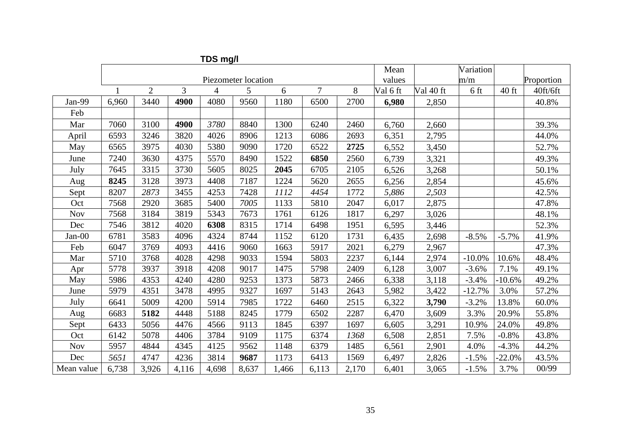|            |              |                |       | TDS mg/l |                     |       |                |       |          |           |           |          |            |
|------------|--------------|----------------|-------|----------|---------------------|-------|----------------|-------|----------|-----------|-----------|----------|------------|
|            |              |                |       |          |                     |       |                |       | Mean     |           | Variation |          |            |
|            |              |                |       |          | Piezometer location |       |                |       | values   |           | m/m       |          | Proportion |
|            | $\mathbf{1}$ | $\overline{2}$ | 3     | 4        | 5                   | $6\,$ | $\overline{7}$ | 8     | Val 6 ft | Val 40 ft | 6 ft      | 40 ft    | 40ft/6ft   |
| Jan-99     | 6,960        | 3440           | 4900  | 4080     | 9560                | 1180  | 6500           | 2700  | 6,980    | 2,850     |           |          | 40.8%      |
| Feb        |              |                |       |          |                     |       |                |       |          |           |           |          |            |
| Mar        | 7060         | 3100           | 4900  | 3780     | 8840                | 1300  | 6240           | 2460  | 6,760    | 2,660     |           |          | 39.3%      |
| April      | 6593         | 3246           | 3820  | 4026     | 8906                | 1213  | 6086           | 2693  | 6,351    | 2,795     |           |          | 44.0%      |
| May        | 6565         | 3975           | 4030  | 5380     | 9090                | 1720  | 6522           | 2725  | 6,552    | 3,450     |           |          | 52.7%      |
| June       | 7240         | 3630           | 4375  | 5570     | 8490                | 1522  | 6850           | 2560  | 6,739    | 3,321     |           |          | 49.3%      |
| July       | 7645         | 3315           | 3730  | 5605     | 8025                | 2045  | 6705           | 2105  | 6,526    | 3,268     |           |          | 50.1%      |
| Aug        | 8245         | 3128           | 3973  | 4408     | 7187                | 1224  | 5620           | 2655  | 6,256    | 2,854     |           |          | 45.6%      |
| Sept       | 8207         | 2873           | 3455  | 4253     | 7428                | 1112  | 4454           | 1772  | 5,886    | 2,503     |           |          | 42.5%      |
| Oct        | 7568         | 2920           | 3685  | 5400     | 7005                | 1133  | 5810           | 2047  | 6,017    | 2,875     |           |          | 47.8%      |
| <b>Nov</b> | 7568         | 3184           | 3819  | 5343     | 7673                | 1761  | 6126           | 1817  | 6,297    | 3,026     |           |          | 48.1%      |
| Dec        | 7546         | 3812           | 4020  | 6308     | 8315                | 1714  | 6498           | 1951  | 6,595    | 3,446     |           |          | 52.3%      |
| Jan-00     | 6781         | 3583           | 4096  | 4324     | 8744                | 1152  | 6120           | 1731  | 6,435    | 2,698     | $-8.5%$   | $-5.7%$  | 41.9%      |
| Feb        | 6047         | 3769           | 4093  | 4416     | 9060                | 1663  | 5917           | 2021  | 6,279    | 2,967     |           |          | 47.3%      |
| Mar        | 5710         | 3768           | 4028  | 4298     | 9033                | 1594  | 5803           | 2237  | 6,144    | 2,974     | $-10.0\%$ | 10.6%    | 48.4%      |
| Apr        | 5778         | 3937           | 3918  | 4208     | 9017                | 1475  | 5798           | 2409  | 6,128    | 3,007     | $-3.6%$   | 7.1%     | 49.1%      |
| May        | 5986         | 4353           | 4240  | 4280     | 9253                | 1373  | 5873           | 2466  | 6,338    | 3,118     | $-3.4%$   | $-10.6%$ | 49.2%      |
| June       | 5979         | 4351           | 3478  | 4995     | 9327                | 1697  | 5143           | 2643  | 5,982    | 3,422     | $-12.7%$  | 3.0%     | 57.2%      |
| July       | 6641         | 5009           | 4200  | 5914     | 7985                | 1722  | 6460           | 2515  | 6,322    | 3,790     | $-3.2%$   | 13.8%    | 60.0%      |
| Aug        | 6683         | 5182           | 4448  | 5188     | 8245                | 1779  | 6502           | 2287  | 6,470    | 3,609     | 3.3%      | 20.9%    | 55.8%      |
| Sept       | 6433         | 5056           | 4476  | 4566     | 9113                | 1845  | 6397           | 1697  | 6,605    | 3,291     | 10.9%     | 24.0%    | 49.8%      |
| Oct        | 6142         | 5078           | 4406  | 3784     | 9109                | 1175  | 6374           | 1368  | 6,508    | 2,851     | 7.5%      | $-0.8%$  | 43.8%      |
| <b>Nov</b> | 5957         | 4844           | 4345  | 4125     | 9562                | 1148  | 6379           | 1485  | 6,561    | 2,901     | 4.0%      | $-4.3%$  | 44.2%      |
| Dec        | 5651         | 4747           | 4236  | 3814     | 9687                | 1173  | 6413           | 1569  | 6,497    | 2,826     | $-1.5%$   | $-22.0%$ | 43.5%      |
| Mean value | 6,738        | 3,926          | 4,116 | 4,698    | 8,637               | 1,466 | 6,113          | 2,170 | 6,401    | 3,065     | $-1.5%$   | 3.7%     | 00/99      |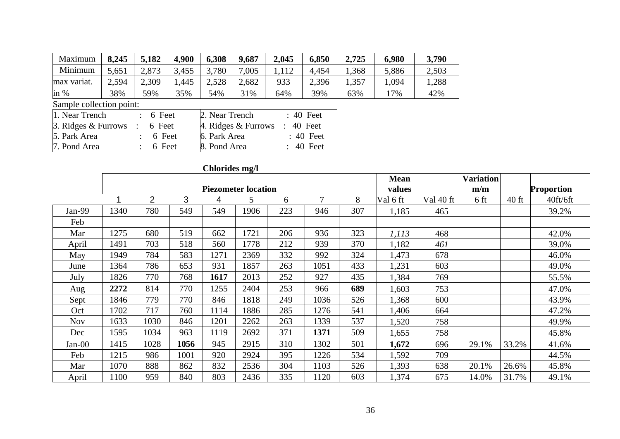| Maximum     | 8,245 | 5,182 | 4,900 | 6,308 | 9,687 | 2,045 | 6,850 | 2,725 | 6,980 | 3,790 |
|-------------|-------|-------|-------|-------|-------|-------|-------|-------|-------|-------|
| Minimum     | 5,651 | 2,873 | 3,455 | 3,780 | 7,005 |       | 4,454 | ,368  | 5,886 | 2,503 |
| max variat. | 2,594 | 2,309 | .445  | 2,528 | 2,682 | 933   | 2,396 | 1,357 | .094  | 1,288 |
| in %        | 38%   | 59%   | 35%   | 54%   | 31%   | 64%   | 39%   | 63%   | 7%    | 42%   |

Sample collection point:

| 1. Near Trench                      | $\therefore$ 6 Feet | 2. Near Trench                                                | $: 40$ Feet |
|-------------------------------------|---------------------|---------------------------------------------------------------|-------------|
| $\beta$ . Ridges & Furrows : 6 Feet |                     | $\vert 4. \text{ Ridges} \& \text{Furrows} : 40 \text{ feet}$ |             |
| 5. Park Area                        | $\therefore$ 6 Feet | 6. Park Area                                                  | $: 40$ Feet |
| 7. Pond Area                        | $\div$ 6 Feet       | 8. Pond Area                                                  | $: 40$ Feet |

|            |      |                |      | Chlorides mg/l             |      |     |      |     |             |           |                  |         |                   |
|------------|------|----------------|------|----------------------------|------|-----|------|-----|-------------|-----------|------------------|---------|-------------------|
|            |      |                |      |                            |      |     |      |     | <b>Mean</b> |           | <b>Variation</b> |         |                   |
|            |      |                |      | <b>Piezometer location</b> |      |     |      |     | values      |           | m/m              |         | <b>Proportion</b> |
|            |      | $\overline{2}$ | 3    | 4                          | 5    | 6   | 7    | 8   | Val 6 ft    | Val 40 ft | 6 ft             | $40$ ft | 40ft/6ft          |
| $Jan-99$   | 1340 | 780            | 549  | 549                        | 1906 | 223 | 946  | 307 | 1,185       | 465       |                  |         | 39.2%             |
| Feb        |      |                |      |                            |      |     |      |     |             |           |                  |         |                   |
| Mar        | 1275 | 680            | 519  | 662                        | 1721 | 206 | 936  | 323 | 1, 113      | 468       |                  |         | 42.0%             |
| April      | 1491 | 703            | 518  | 560                        | 1778 | 212 | 939  | 370 | 1,182       | 461       |                  |         | 39.0%             |
| May        | 1949 | 784            | 583  | 1271                       | 2369 | 332 | 992  | 324 | 1,473       | 678       |                  |         | 46.0%             |
| June       | 1364 | 786            | 653  | 931                        | 1857 | 263 | 1051 | 433 | 1,231       | 603       |                  |         | 49.0%             |
| July       | 1826 | 770            | 768  | 1617                       | 2013 | 252 | 927  | 435 | 1,384       | 769       |                  |         | 55.5%             |
| Aug        | 2272 | 814            | 770  | 1255                       | 2404 | 253 | 966  | 689 | 1,603       | 753       |                  |         | 47.0%             |
| Sept       | 1846 | 779            | 770  | 846                        | 1818 | 249 | 1036 | 526 | 1,368       | 600       |                  |         | 43.9%             |
| Oct        | 1702 | 717            | 760  | 1114                       | 1886 | 285 | 1276 | 541 | 1,406       | 664       |                  |         | 47.2%             |
| <b>Nov</b> | 1633 | 1030           | 846  | 1201                       | 2262 | 263 | 1339 | 537 | 1,520       | 758       |                  |         | 49.9%             |
| Dec        | 1595 | 1034           | 963  | 1119                       | 2692 | 371 | 1371 | 509 | 1,655       | 758       |                  |         | 45.8%             |
| $Jan-00$   | 1415 | 1028           | 1056 | 945                        | 2915 | 310 | 1302 | 501 | 1,672       | 696       | 29.1%            | 33.2%   | 41.6%             |
| Feb        | 1215 | 986            | 1001 | 920                        | 2924 | 395 | 1226 | 534 | 1,592       | 709       |                  |         | 44.5%             |
| Mar        | 1070 | 888            | 862  | 832                        | 2536 | 304 | 1103 | 526 | 1,393       | 638       | 20.1%            | 26.6%   | 45.8%             |
| April      | 1100 | 959            | 840  | 803                        | 2436 | 335 | 1120 | 603 | 1,374       | 675       | 14.0%            | 31.7%   | 49.1%             |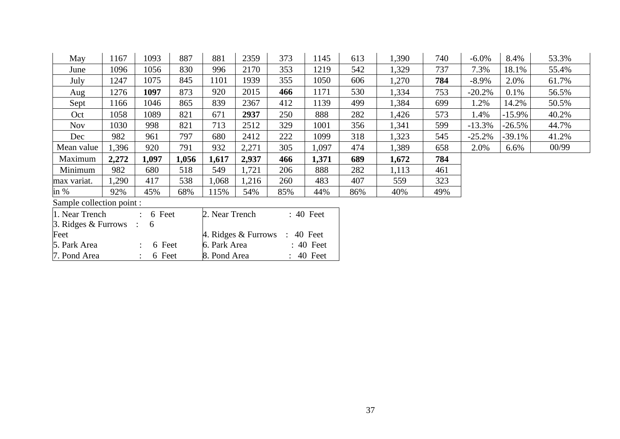| May                            | 1167  | 1093                           | 887   | 881            | 2359  | 373                                    | 1145        | 613 | 1,390 | 740 | $-6.0\%$ | 8.4%      | 53.3% |
|--------------------------------|-------|--------------------------------|-------|----------------|-------|----------------------------------------|-------------|-----|-------|-----|----------|-----------|-------|
| June                           | 1096  | 1056                           | 830   | 996            | 2170  | 353                                    | 1219        | 542 | 1,329 | 737 | 7.3%     | 18.1%     | 55.4% |
| July                           | 1247  | 1075                           | 845   | 1101           | 1939  | 355                                    | 1050        | 606 | 1,270 | 784 | $-8.9\%$ | 2.0%      | 61.7% |
| Aug                            | 1276  | 1097                           | 873   | 920            | 2015  | 466                                    | 1171        | 530 | 1,334 | 753 | $-20.2%$ | 0.1%      | 56.5% |
| Sept                           | 1166  | 1046                           | 865   | 839            | 2367  | 412                                    | 1139        | 499 | 1,384 | 699 | 1.2%     | 14.2%     | 50.5% |
| Oct                            | 1058  | 1089                           | 821   | 671            | 2937  | 250                                    | 888         | 282 | 1,426 | 573 | 1.4%     | $-15.9\%$ | 40.2% |
| <b>Nov</b>                     | 1030  | 998                            | 821   | 713            | 2512  | 329                                    | 1001        | 356 | 1,341 | 599 | $-13.3%$ | -26.5%    | 44.7% |
| Dec                            | 982   | 961                            | 797   | 680            | 2412  | 222                                    | 1099        | 318 | 1,323 | 545 | $-25.2%$ | $-39.1%$  | 41.2% |
| Mean value                     | 1,396 | 920                            | 791   | 932            | 2,271 | 305                                    | 1,097       | 474 | 1,389 | 658 | 2.0%     | 6.6%      | 00/99 |
| Maximum                        | 2,272 | 1,097                          | 1,056 | 1,617          | 2,937 | 466                                    | 1,371       | 689 | 1,672 | 784 |          |           |       |
| Minimum                        | 982   | 680                            | 518   | 549            | 1,721 | 206                                    | 888         | 282 | 1,113 | 461 |          |           |       |
| max variat.                    | 1,290 | 417                            | 538   | 1,068          | 1,216 | 260                                    | 483         | 407 | 559   | 323 |          |           |       |
| in %                           | 92%   | 45%                            | 68%   | 115%           | 54%   | 85%                                    | 44%         | 86% | 40%   | 49% |          |           |       |
| Sample collection point :      |       |                                |       |                |       |                                        |             |     |       |     |          |           |       |
|                                |       |                                |       |                |       |                                        |             |     |       |     |          |           |       |
| 1. Near Trench                 |       | $: 6$ Feet                     |       | 2. Near Trench |       |                                        | $: 40$ Feet |     |       |     |          |           |       |
| $\beta$ . Ridges & Furrows : 6 |       |                                |       |                |       |                                        |             |     |       |     |          |           |       |
| Feet                           |       |                                |       |                |       | 4. Ridges $& \text{Furrows}$ : 40 Feet |             |     |       |     |          |           |       |
| 5. Park Area                   |       | 6 Feet<br>$\ddot{\phantom{a}}$ |       | 6. Park Area   |       |                                        | $: 40$ Feet |     |       |     |          |           |       |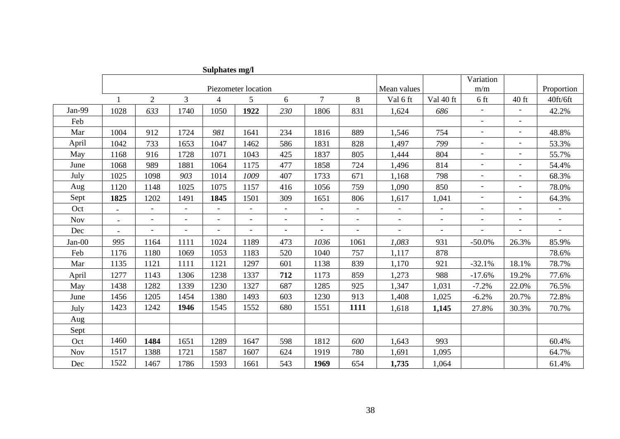|            |                          |                          |                          | Sulphates mg/l           |                          |                          |                |                          |                          |                          |                          |                          |                          |
|------------|--------------------------|--------------------------|--------------------------|--------------------------|--------------------------|--------------------------|----------------|--------------------------|--------------------------|--------------------------|--------------------------|--------------------------|--------------------------|
|            |                          |                          |                          |                          |                          |                          |                |                          |                          |                          | Variation                |                          |                          |
|            |                          |                          |                          |                          | Piezometer location      |                          |                |                          | Mean values              |                          | m/m                      |                          | Proportion               |
|            |                          | $\overline{2}$           | 3                        | $\overline{4}$           | 5                        | 6                        | $\overline{7}$ | 8                        | Val 6 ft                 | Val 40 ft                | 6 ft                     | 40 ft                    | 40ft/6ft                 |
| Jan-99     | 1028                     | 633                      | 1740                     | 1050                     | 1922                     | 230                      | 1806           | 831                      | 1,624                    | 686                      | $\overline{\phantom{a}}$ | $\overline{\phantom{a}}$ | 42.2%                    |
| Feb        |                          |                          |                          |                          |                          |                          |                |                          |                          |                          | $\overline{\phantom{0}}$ |                          |                          |
| Mar        | 1004                     | 912                      | 1724                     | 981                      | 1641                     | 234                      | 1816           | 889                      | 1,546                    | 754                      | $\blacksquare$           | $\blacksquare$           | 48.8%                    |
| April      | 1042                     | 733                      | 1653                     | 1047                     | 1462                     | 586                      | 1831           | 828                      | 1,497                    | 799                      | $\overline{\phantom{a}}$ | $\overline{\phantom{a}}$ | 53.3%                    |
| May        | 1168                     | 916                      | 1728                     | 1071                     | 1043                     | 425                      | 1837           | 805                      | 1,444                    | 804                      | $\overline{\phantom{a}}$ |                          | 55.7%                    |
| June       | 1068                     | 989                      | 1881                     | 1064                     | 1175                     | 477                      | 1858           | 724                      | 1,496                    | 814                      | $\overline{\phantom{0}}$ | $\overline{\phantom{a}}$ | 54.4%                    |
| July       | 1025                     | 1098                     | 903                      | 1014                     | 1009                     | 407                      | 1733           | 671                      | 1,168                    | 798                      | $\overline{\phantom{a}}$ | $\overline{\phantom{a}}$ | 68.3%                    |
| Aug        | 1120                     | 1148                     | 1025                     | 1075                     | 1157                     | 416                      | 1056           | 759                      | 1,090                    | 850                      | $\overline{\phantom{a}}$ |                          | 78.0%                    |
| Sept       | 1825                     | 1202                     | 1491                     | 1845                     | 1501                     | 309                      | 1651           | 806                      | 1,617                    | 1,041                    | $\overline{\phantom{0}}$ | $\overline{\phantom{a}}$ | 64.3%                    |
| Oct        | $\overline{\phantom{a}}$ | $\overline{\phantom{a}}$ | $\overline{\phantom{a}}$ | $\overline{a}$           | $\overline{\phantom{a}}$ | $\overline{\phantom{a}}$ | $\overline{a}$ |                          | $\overline{\phantom{a}}$ | $\overline{\phantom{a}}$ | $\overline{\phantom{a}}$ | $\overline{\phantom{a}}$ | $\overline{\phantom{a}}$ |
| <b>Nov</b> | $\overline{\phantom{a}}$ | $\overline{\phantom{a}}$ | $\overline{\phantom{a}}$ | $\overline{\phantom{a}}$ | $\overline{\phantom{0}}$ | $\overline{\phantom{a}}$ | ÷,             | $\overline{\phantom{a}}$ | $\overline{\phantom{a}}$ | $\overline{\phantom{a}}$ | $\overline{\phantom{a}}$ | $\overline{\phantom{a}}$ | $\overline{\phantom{a}}$ |
| Dec        | $\overline{a}$           | $\blacksquare$           | $\blacksquare$           | $\overline{a}$           | $\overline{\phantom{0}}$ | $\overline{\phantom{a}}$ | $\overline{a}$ | $\blacksquare$           | $\blacksquare$           | $\overline{\phantom{a}}$ | $\overline{\phantom{0}}$ |                          | $\overline{a}$           |
| Jan-00     | 995                      | 1164                     | 1111                     | 1024                     | 1189                     | 473                      | 1036           | 1061                     | 1,083                    | 931                      | $-50.0%$                 | 26.3%                    | 85.9%                    |
| Feb        | 1176                     | 1180                     | 1069                     | 1053                     | 1183                     | 520                      | 1040           | 757                      | 1,117                    | 878                      |                          |                          | 78.6%                    |
| Mar        | 1135                     | 1121                     | 1111                     | 1121                     | 1297                     | 601                      | 1138           | 839                      | 1,170                    | 921                      | $-32.1%$                 | 18.1%                    | 78.7%                    |
| April      | 1277                     | 1143                     | 1306                     | 1238                     | 1337                     | 712                      | 1173           | 859                      | 1,273                    | 988                      | $-17.6%$                 | 19.2%                    | 77.6%                    |
| May        | 1438                     | 1282                     | 1339                     | 1230                     | 1327                     | 687                      | 1285           | 925                      | 1,347                    | 1,031                    | $-7.2%$                  | 22.0%                    | 76.5%                    |
| June       | 1456                     | 1205                     | 1454                     | 1380                     | 1493                     | 603                      | 1230           | 913                      | 1,408                    | 1,025                    | $-6.2%$                  | 20.7%                    | 72.8%                    |
| July       | 1423                     | 1242                     | 1946                     | 1545                     | 1552                     | 680                      | 1551           | 1111                     | 1,618                    | 1,145                    | 27.8%                    | 30.3%                    | 70.7%                    |
| Aug        |                          |                          |                          |                          |                          |                          |                |                          |                          |                          |                          |                          |                          |
| Sept       |                          |                          |                          |                          |                          |                          |                |                          |                          |                          |                          |                          |                          |
| Oct        | 1460                     | 1484                     | 1651                     | 1289                     | 1647                     | 598                      | 1812           | 600                      | 1,643                    | 993                      |                          |                          | 60.4%                    |
| <b>Nov</b> | 1517                     | 1388                     | 1721                     | 1587                     | 1607                     | 624                      | 1919           | 780                      | 1,691                    | 1,095                    |                          |                          | 64.7%                    |
| Dec        | 1522                     | 1467                     | 1786                     | 1593                     | 1661                     | 543                      | 1969           | 654                      | 1,735                    | 1,064                    |                          |                          | 61.4%                    |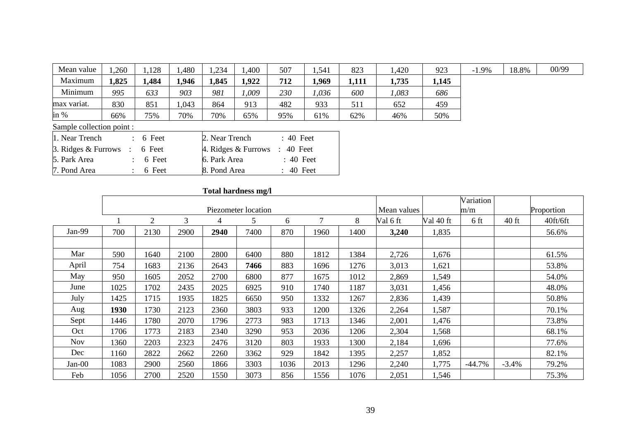| Mean value  | ,260  | ,128 | ,480  | .234  | ,400  | 507 | 1,541 | 823   | 1,420 | 923   | 1.9% | 18.8% | 00/99 |
|-------------|-------|------|-------|-------|-------|-----|-------|-------|-------|-------|------|-------|-------|
| Maximum     | 1,825 | .484 | 1,946 | 1,845 | 1,922 | 712 | 1,969 | 1,111 | 1,735 | 1,145 |      |       |       |
| Minimum     | 995   | 633  | 903   | 981   | ,009  | 230 | ,036  | 600   | 1,083 | 686   |      |       |       |
| max variat. | 830   | 851  | 1,043 | 864   | 913   | 482 | 933   | 511   | 652   | 459   |      |       |       |
| in %        | 66%   | 75%  | 70%   | 70%   | 65%   | 95% | 61%   | 62%   | 46%   | 50%   |      |       |       |
|             |       |      |       |       |       |     |       |       |       |       |      |       |       |

Sample collection point :

| 1. Near Trench                      | $\therefore$ 6 Feet | 2. Near Trench                         | $: 40$ Feet |
|-------------------------------------|---------------------|----------------------------------------|-------------|
| $\beta$ . Ridges & Furrows : 6 Feet |                     | 4. Ridges $& \text{Furrows}$ : 40 Feet |             |
| 5. Park Area                        | $\therefore$ 6 Feet | 6. Park Area                           | $: 40$ Feet |
| 7. Pond Area                        | $\therefore$ 6 Feet | 8. Pond Area                           | $: 40$ Feet |

|            |      |                |      |      | <b>Total nardness mg/l</b> |      |               |      |             |           |                  |         |            |
|------------|------|----------------|------|------|----------------------------|------|---------------|------|-------------|-----------|------------------|---------|------------|
|            |      |                |      |      | Piezometer location        |      |               |      | Mean values |           | Variation<br>m/m |         | Proportion |
|            |      | $\overline{2}$ | 3    | 4    | 5                          | 6    | $\mathcal{I}$ | 8    | Val 6 ft    | Val 40 ft | 6 ft             | 40 ft   | 40ft/6ft   |
| Jan-99     | 700  | 2130           | 2900 | 2940 | 7400                       | 870  | 1960          | 1400 | 3,240       | 1,835     |                  |         | 56.6%      |
|            |      |                |      |      |                            |      |               |      |             |           |                  |         |            |
| Mar        | 590  | 1640           | 2100 | 2800 | 6400                       | 880  | 1812          | 1384 | 2,726       | 1,676     |                  |         | 61.5%      |
| April      | 754  | 1683           | 2136 | 2643 | 7466                       | 883  | 1696          | 1276 | 3,013       | 1,621     |                  |         | 53.8%      |
| May        | 950  | 1605           | 2052 | 2700 | 6800                       | 877  | 1675          | 1012 | 2,869       | 1,549     |                  |         | 54.0%      |
| June       | 1025 | 1702           | 2435 | 2025 | 6925                       | 910  | 1740          | 1187 | 3,031       | 1,456     |                  |         | 48.0%      |
| July       | 1425 | 1715           | 1935 | 1825 | 6650                       | 950  | 1332          | 1267 | 2,836       | 1,439     |                  |         | 50.8%      |
| Aug        | 1930 | 1730           | 2123 | 2360 | 3803                       | 933  | 1200          | 1326 | 2,264       | 1,587     |                  |         | 70.1%      |
| Sept       | 1446 | 1780           | 2070 | 1796 | 2773                       | 983  | 1713          | 1346 | 2,001       | 1,476     |                  |         | 73.8%      |
| Oct        | 1706 | 1773           | 2183 | 2340 | 3290                       | 953  | 2036          | 1206 | 2,304       | 1,568     |                  |         | 68.1%      |
| <b>Nov</b> | 1360 | 2203           | 2323 | 2476 | 3120                       | 803  | 1933          | 1300 | 2,184       | 1,696     |                  |         | 77.6%      |
| Dec        | 1160 | 2822           | 2662 | 2260 | 3362                       | 929  | 1842          | 1395 | 2,257       | 1,852     |                  |         | 82.1%      |
| $Jan-00$   | 1083 | 2900           | 2560 | 1866 | 3303                       | 1036 | 2013          | 1296 | 2,240       | 1,775     | $-44.7%$         | $-3.4%$ | 79.2%      |
| Feb        | 1056 | 2700           | 2520 | 1550 | 3073                       | 856  | 1556          | 1076 | 2,051       | 1,546     |                  |         | 75.3%      |

**Total hardness mg/l**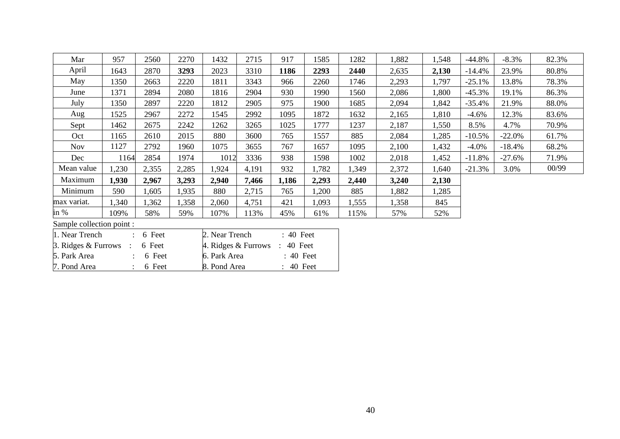| Mar                               | 957   | 2560       | 2270  | 1432                                    | 2715  | 917         | 1585  | 1282  | 1,882 | 1,548 | $-44.8%$ | $-8.3%$   | 82.3% |
|-----------------------------------|-------|------------|-------|-----------------------------------------|-------|-------------|-------|-------|-------|-------|----------|-----------|-------|
| April                             | 1643  | 2870       | 3293  | 2023                                    | 3310  | 1186        | 2293  | 2440  | 2,635 | 2,130 | $-14.4%$ | 23.9%     | 80.8% |
| May                               | 1350  | 2663       | 2220  | 1811                                    | 3343  | 966         | 2260  | 1746  | 2,293 | 1,797 | $-25.1%$ | 13.8%     | 78.3% |
| June                              | 1371  | 2894       | 2080  | 1816                                    | 2904  | 930         | 1990  | 1560  | 2,086 | 1,800 | $-45.3%$ | 19.1%     | 86.3% |
| July                              | 1350  | 2897       | 2220  | 1812                                    | 2905  | 975         | 1900  | 1685  | 2,094 | 1,842 | $-35.4%$ | 21.9%     | 88.0% |
| Aug                               | 1525  | 2967       | 2272  | 1545                                    | 2992  | 1095        | 1872  | 1632  | 2,165 | 1,810 | $-4.6%$  | 12.3%     | 83.6% |
| Sept                              | 1462  | 2675       | 2242  | 1262                                    | 3265  | 1025        | 1777  | 1237  | 2,187 | 1,550 | 8.5%     | 4.7%      | 70.9% |
| Oct                               | 1165  | 2610       | 2015  | 880                                     | 3600  | 765         | 1557  | 885   | 2,084 | 1,285 | $-10.5%$ | $-22.0\%$ | 61.7% |
| <b>Nov</b>                        | 1127  | 2792       | 1960  | 1075                                    | 3655  | 767         | 1657  | 1095  | 2,100 | 1,432 | $-4.0%$  | $-18.4%$  | 68.2% |
| Dec                               | 1164  | 2854       | 1974  | 1012                                    | 3336  | 938         | 1598  | 1002  | 2,018 | 1,452 | $-11.8%$ | $-27.6%$  | 71.9% |
| Mean value                        | 1,230 | 2,355      | 2,285 | 1,924                                   | 4,191 | 932         | 1,782 | 1,349 | 2,372 | 1,640 | $-21.3%$ | 3.0%      | 00/99 |
| Maximum                           | 1,930 | 2,967      | 3,293 | 2,940                                   | 7,466 | 1,186       | 2,293 | 2,440 | 3,240 | 2,130 |          |           |       |
| Minimum                           | 590   | 1,605      | 1,935 | 880                                     | 2,715 | 765         | 1,200 | 885   | 1,882 | 1,285 |          |           |       |
| max variat.                       | 1,340 | 1,362      | 1,358 | 2,060                                   | 4,751 | 421         | 1,093 | 1,555 | 1,358 | 845   |          |           |       |
| in %                              | 109%  | 58%        | 59%   | 107%                                    | 113%  | 45%         | 61%   | 115%  | 57%   | 52%   |          |           |       |
| Sample collection point :         |       |            |       |                                         |       |             |       |       |       |       |          |           |       |
| 1. Near Trench                    |       | $: 6$ Feet |       | 2. Near Trench                          |       | $: 40$ Feet |       |       |       |       |          |           |       |
| 2 Didge $\ell$ Europe $\ell$ Foot |       |            |       | $\mu$ Didge $\ell$ Eurows $\mu$ IQ Eqst |       |             |       |       |       |       |          |           |       |

| $\beta$ . Ridges & Furrows : 6 Feet |                     | 4. Ridges $& \text{Furrows}$ : 40 Feet |             |
|-------------------------------------|---------------------|----------------------------------------|-------------|
| 5. Park Area                        | $\therefore$ 6 Feet | 6. Park Area                           | $: 40$ Feet |
| 7. Pond Area                        | $\therefore$ 6 Feet | 8. Pond Area                           | $: 40$ Feet |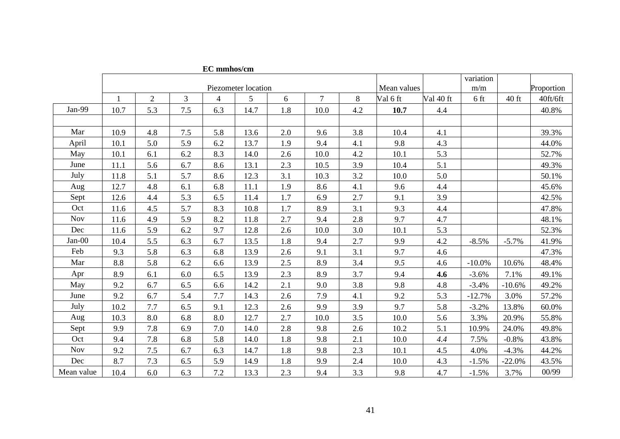|            |                     |                |     | <b>EC</b> mmnos/cm |      |     |                |     |             |           |                  |          |            |
|------------|---------------------|----------------|-----|--------------------|------|-----|----------------|-----|-------------|-----------|------------------|----------|------------|
|            | Piezometer location |                |     |                    |      |     |                |     | Mean values |           | variation<br>m/m |          | Proportion |
|            |                     | $\overline{2}$ | 3   | 4                  | 5    | 6   | $\overline{7}$ | 8   | Val 6 ft    | Val 40 ft | 6 ft             | $40$ ft  | 40ft/6ft   |
| Jan-99     | 10.7                | 5.3            | 7.5 | 6.3                | 14.7 | 1.8 | 10.0           | 4.2 | 10.7        | 4.4       |                  |          | 40.8%      |
|            |                     |                |     |                    |      |     |                |     |             |           |                  |          |            |
| Mar        | 10.9                | 4.8            | 7.5 | 5.8                | 13.6 | 2.0 | 9.6            | 3.8 | 10.4        | 4.1       |                  |          | 39.3%      |
| April      | 10.1                | 5.0            | 5.9 | 6.2                | 13.7 | 1.9 | 9.4            | 4.1 | 9.8         | 4.3       |                  |          | 44.0%      |
| May        | 10.1                | 6.1            | 6.2 | 8.3                | 14.0 | 2.6 | 10.0           | 4.2 | 10.1        | 5.3       |                  |          | 52.7%      |
| June       | 11.1                | 5.6            | 6.7 | 8.6                | 13.1 | 2.3 | 10.5           | 3.9 | 10.4        | 5.1       |                  |          | 49.3%      |
| July       | 11.8                | 5.1            | 5.7 | 8.6                | 12.3 | 3.1 | 10.3           | 3.2 | 10.0        | 5.0       |                  |          | 50.1%      |
| Aug        | 12.7                | 4.8            | 6.1 | 6.8                | 11.1 | 1.9 | 8.6            | 4.1 | 9.6         | 4.4       |                  |          | 45.6%      |
| Sept       | 12.6                | 4.4            | 5.3 | 6.5                | 11.4 | 1.7 | 6.9            | 2.7 | 9.1         | 3.9       |                  |          | 42.5%      |
| Oct        | 11.6                | 4.5            | 5.7 | 8.3                | 10.8 | 1.7 | 8.9            | 3.1 | 9.3         | 4.4       |                  |          | 47.8%      |
| <b>Nov</b> | 11.6                | 4.9            | 5.9 | 8.2                | 11.8 | 2.7 | 9.4            | 2.8 | 9.7         | 4.7       |                  |          | 48.1%      |
| Dec        | 11.6                | 5.9            | 6.2 | 9.7                | 12.8 | 2.6 | 10.0           | 3.0 | 10.1        | 5.3       |                  |          | 52.3%      |
| $Jan-00$   | 10.4                | 5.5            | 6.3 | 6.7                | 13.5 | 1.8 | 9.4            | 2.7 | 9.9         | 4.2       | $-8.5%$          | $-5.7%$  | 41.9%      |
| Feb        | 9.3                 | 5.8            | 6.3 | 6.8                | 13.9 | 2.6 | 9.1            | 3.1 | 9.7         | 4.6       |                  |          | 47.3%      |
| Mar        | 8.8                 | 5.8            | 6.2 | 6.6                | 13.9 | 2.5 | 8.9            | 3.4 | 9.5         | 4.6       | $-10.0\%$        | 10.6%    | 48.4%      |
| Apr        | 8.9                 | 6.1            | 6.0 | 6.5                | 13.9 | 2.3 | 8.9            | 3.7 | 9.4         | 4.6       | $-3.6%$          | 7.1%     | 49.1%      |
| May        | 9.2                 | 6.7            | 6.5 | 6.6                | 14.2 | 2.1 | 9.0            | 3.8 | 9.8         | 4.8       | $-3.4%$          | $-10.6%$ | 49.2%      |
| June       | 9.2                 | 6.7            | 5.4 | 7.7                | 14.3 | 2.6 | 7.9            | 4.1 | 9.2         | 5.3       | $-12.7%$         | 3.0%     | 57.2%      |
| July       | 10.2                | 7.7            | 6.5 | 9.1                | 12.3 | 2.6 | 9.9            | 3.9 | 9.7         | 5.8       | $-3.2%$          | 13.8%    | 60.0%      |
| Aug        | 10.3                | 8.0            | 6.8 | 8.0                | 12.7 | 2.7 | 10.0           | 3.5 | 10.0        | 5.6       | 3.3%             | 20.9%    | 55.8%      |
| Sept       | 9.9                 | 7.8            | 6.9 | 7.0                | 14.0 | 2.8 | 9.8            | 2.6 | 10.2        | 5.1       | 10.9%            | 24.0%    | 49.8%      |
| Oct        | 9.4                 | 7.8            | 6.8 | 5.8                | 14.0 | 1.8 | 9.8            | 2.1 | 10.0        | 4.4       | 7.5%             | $-0.8%$  | 43.8%      |
| <b>Nov</b> | 9.2                 | 7.5            | 6.7 | 6.3                | 14.7 | 1.8 | 9.8            | 2.3 | 10.1        | 4.5       | 4.0%             | $-4.3%$  | 44.2%      |
| Dec        | 8.7                 | 7.3            | 6.5 | 5.9                | 14.9 | 1.8 | 9.9            | 2.4 | 10.0        | 4.3       | $-1.5%$          | $-22.0%$ | 43.5%      |
| Mean value | 10.4                | 6.0            | 6.3 | 7.2                | 13.3 | 2.3 | 9.4            | 3.3 | 9.8         | 4.7       | $-1.5%$          | 3.7%     | 00/99      |

 $E$ C mmhos/cm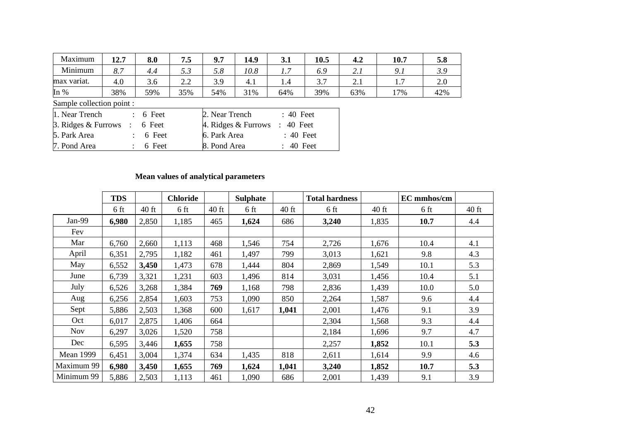| Maximum                         | 12.7 | 8.0 | 7.5 | 9.7 | 14.9 | 3 <sub>1</sub><br>J.L | 10.5 | 4.2                           | 10.7           | 5.8 |
|---------------------------------|------|-----|-----|-----|------|-----------------------|------|-------------------------------|----------------|-----|
| Minimum                         | 8.7  | 4.4 | 5.3 | 5.8 | 10.8 | $\overline{ }$<br>.   | 6.9  | $\gamma$<br>$\mathcal{L}$ . 1 | 9.1            | 3.9 |
| max variat.                     | 4.0  | 3.6 | 2.2 | 3.9 | 4.1  | 1.4                   | 3.7  | $\bigcap$ 1<br>$\sim$ . 1     | $\overline{ }$ | 2.0 |
| In $%$                          | 38%  | 59% | 35% | 54% | 31%  | 64%                   | 39%  | 63%                           | 17%            | 42% |
| Sample collection point $\cdot$ |      |     |     |     |      |                       |      |                               |                |     |

Sample collection point :

| 1. Near Trench                      | $\therefore$ 6 Feet | 2. Near Trench                         | $: 40$ Feet |
|-------------------------------------|---------------------|----------------------------------------|-------------|
| $\beta$ . Ridges & Furrows : 6 Feet |                     | 4. Ridges $& \text{Furrows}$ : 40 Feet |             |
| 5. Park Area                        | $\therefore$ 6 Feet | 6. Park Area                           | $: 40$ Feet |
| 7. Pond Area                        | $\therefore$ 6 Feet | 8. Pond Area                           | $: 40$ Feet |

#### **Mean values of analytical parameters**

|                  | <b>TDS</b> |         | <b>Chloride</b> |         | <b>Sulphate</b> |         | <b>Total hardness</b> |         | EC mmhos/cm |         |
|------------------|------------|---------|-----------------|---------|-----------------|---------|-----------------------|---------|-------------|---------|
|                  | 6 ft       | $40$ ft | 6 ft            | $40$ ft | 6 ft            | $40$ ft | 6 ft                  | $40$ ft | 6 ft        | $40$ ft |
| Jan-99           | 6,980      | 2,850   | 1,185           | 465     | 1,624           | 686     | 3,240                 | 1,835   | 10.7        | 4.4     |
| Fev              |            |         |                 |         |                 |         |                       |         |             |         |
| Mar              | 6,760      | 2,660   | 1,113           | 468     | 1,546           | 754     | 2,726                 | 1,676   | 10.4        | 4.1     |
| April            | 6,351      | 2,795   | 1,182           | 461     | 1,497           | 799     | 3,013                 | 1,621   | 9.8         | 4.3     |
| May              | 6,552      | 3,450   | 1,473           | 678     | 1,444           | 804     | 2,869                 | 1,549   | 10.1        | 5.3     |
| June             | 6,739      | 3,321   | 1,231           | 603     | 1,496           | 814     | 3,031                 | 1,456   | 10.4        | 5.1     |
| July             | 6,526      | 3,268   | 1,384           | 769     | 1,168           | 798     | 2,836                 | 1,439   | 10.0        | 5.0     |
| Aug              | 6,256      | 2,854   | 1,603           | 753     | 1,090           | 850     | 2,264                 | 1,587   | 9.6         | 4.4     |
| Sept             | 5,886      | 2,503   | 1,368           | 600     | 1,617           | 1,041   | 2,001                 | 1,476   | 9.1         | 3.9     |
| Oct              | 6,017      | 2,875   | 1,406           | 664     |                 |         | 2,304                 | 1,568   | 9.3         | 4.4     |
| <b>Nov</b>       | 6,297      | 3,026   | 1,520           | 758     |                 |         | 2,184                 | 1,696   | 9.7         | 4.7     |
| Dec              | 6,595      | 3,446   | 1,655           | 758     |                 |         | 2,257                 | 1,852   | 10.1        | 5.3     |
| <b>Mean 1999</b> | 6,451      | 3,004   | 1,374           | 634     | 1,435           | 818     | 2,611                 | 1,614   | 9.9         | 4.6     |
| Maximum 99       | 6,980      | 3,450   | 1,655           | 769     | 1,624           | 1,041   | 3,240                 | 1,852   | 10.7        | 5.3     |
| Minimum 99       | 5,886      | 2,503   | 1,113           | 461     | 1,090           | 686     | 2,001                 | 1,439   | 9.1         | 3.9     |